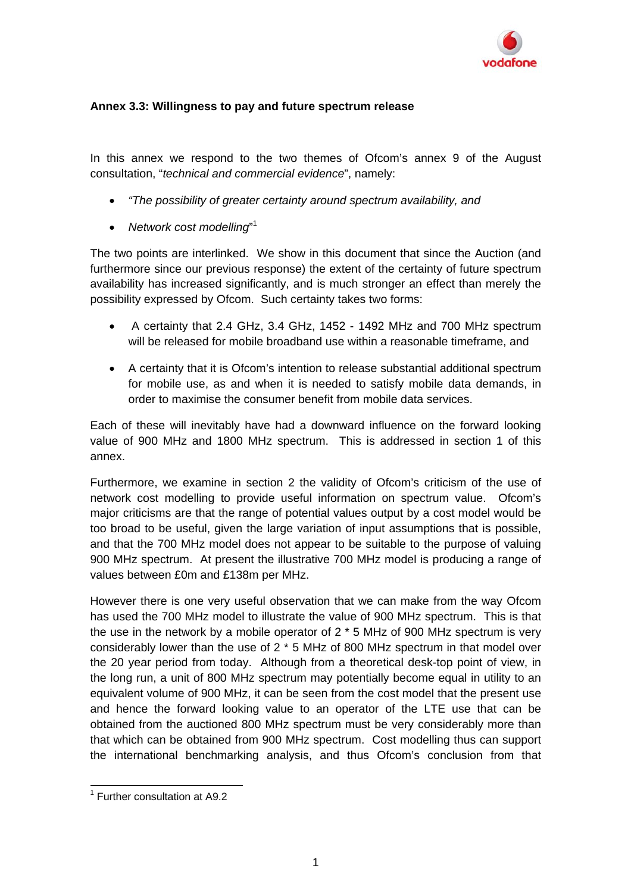

## **Annex 3.3: Willingness to pay and future spectrum release**

In this annex we respond to the two themes of Ofcom's annex 9 of the August consultation, "*technical and commercial evidence*", namely:

- *"The possibility of greater certainty around spectrum availability, and*
- *Network cost modelling*" 1

The two points are interlinked. We show in this document that since the Auction (and furthermore since our previous response) the extent of the certainty of future spectrum availability has increased significantly, and is much stronger an effect than merely the possibility expressed by Ofcom. Such certainty takes two forms:

- A certainty that 2.4 GHz, 3.4 GHz, 1452 1492 MHz and 700 MHz spectrum will be released for mobile broadband use within a reasonable timeframe, and
- A certainty that it is Ofcom's intention to release substantial additional spectrum for mobile use, as and when it is needed to satisfy mobile data demands, in order to maximise the consumer benefit from mobile data services.

Each of these will inevitably have had a downward influence on the forward looking value of 900 MHz and 1800 MHz spectrum. This is addressed in section 1 of this annex.

Furthermore, we examine in section 2 the validity of Ofcom's criticism of the use of network cost modelling to provide useful information on spectrum value. Ofcom's major criticisms are that the range of potential values output by a cost model would be too broad to be useful, given the large variation of input assumptions that is possible, and that the 700 MHz model does not appear to be suitable to the purpose of valuing 900 MHz spectrum. At present the illustrative 700 MHz model is producing a range of values between £0m and £138m per MHz.

However there is one very useful observation that we can make from the way Ofcom has used the 700 MHz model to illustrate the value of 900 MHz spectrum. This is that the use in the network by a mobile operator of  $2 * 5$  MHz of 900 MHz spectrum is very considerably lower than the use of  $2 * 5$  MHz of 800 MHz spectrum in that model over the 20 year period from today. Although from a theoretical desk-top point of view, in the long run, a unit of 800 MHz spectrum may potentially become equal in utility to an equivalent volume of 900 MHz, it can be seen from the cost model that the present use and hence the forward looking value to an operator of the LTE use that can be obtained from the auctioned 800 MHz spectrum must be very considerably more than that which can be obtained from 900 MHz spectrum. Cost modelling thus can support the international benchmarking analysis, and thus Ofcom's conclusion from that

 1 Further consultation at A9.2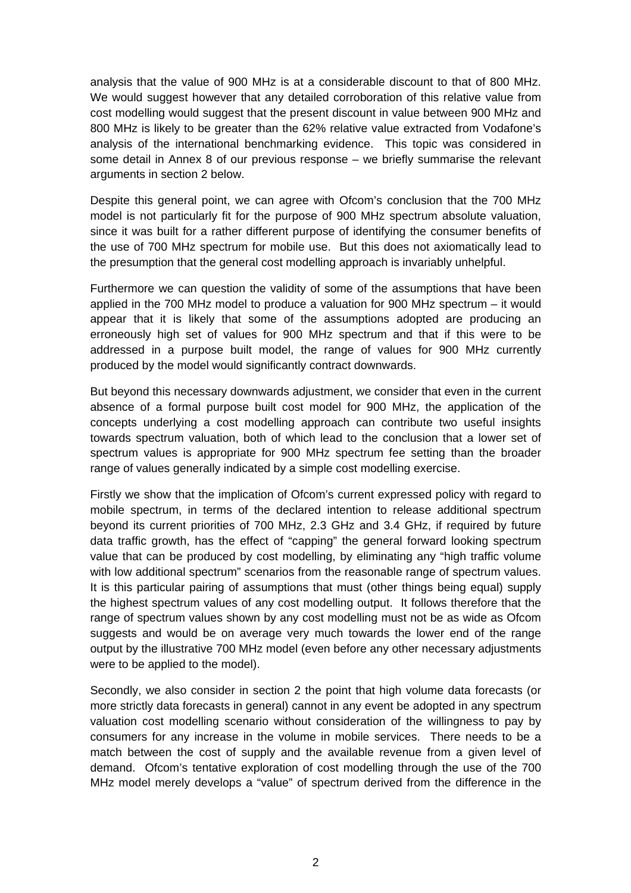analysis that the value of 900 MHz is at a considerable discount to that of 800 MHz. We would suggest however that any detailed corroboration of this relative value from cost modelling would suggest that the present discount in value between 900 MHz and 800 MHz is likely to be greater than the 62% relative value extracted from Vodafone's analysis of the international benchmarking evidence. This topic was considered in some detail in Annex 8 of our previous response – we briefly summarise the relevant arguments in section 2 below.

Despite this general point, we can agree with Ofcom's conclusion that the 700 MHz model is not particularly fit for the purpose of 900 MHz spectrum absolute valuation, since it was built for a rather different purpose of identifying the consumer benefits of the use of 700 MHz spectrum for mobile use. But this does not axiomatically lead to the presumption that the general cost modelling approach is invariably unhelpful.

Furthermore we can question the validity of some of the assumptions that have been applied in the 700 MHz model to produce a valuation for 900 MHz spectrum – it would appear that it is likely that some of the assumptions adopted are producing an erroneously high set of values for 900 MHz spectrum and that if this were to be addressed in a purpose built model, the range of values for 900 MHz currently produced by the model would significantly contract downwards.

But beyond this necessary downwards adjustment, we consider that even in the current absence of a formal purpose built cost model for 900 MHz, the application of the concepts underlying a cost modelling approach can contribute two useful insights towards spectrum valuation, both of which lead to the conclusion that a lower set of spectrum values is appropriate for 900 MHz spectrum fee setting than the broader range of values generally indicated by a simple cost modelling exercise.

Firstly we show that the implication of Ofcom's current expressed policy with regard to mobile spectrum, in terms of the declared intention to release additional spectrum beyond its current priorities of 700 MHz, 2.3 GHz and 3.4 GHz, if required by future data traffic growth, has the effect of "capping" the general forward looking spectrum value that can be produced by cost modelling, by eliminating any "high traffic volume with low additional spectrum" scenarios from the reasonable range of spectrum values. It is this particular pairing of assumptions that must (other things being equal) supply the highest spectrum values of any cost modelling output. It follows therefore that the range of spectrum values shown by any cost modelling must not be as wide as Ofcom suggests and would be on average very much towards the lower end of the range output by the illustrative 700 MHz model (even before any other necessary adjustments were to be applied to the model).

Secondly, we also consider in section 2 the point that high volume data forecasts (or more strictly data forecasts in general) cannot in any event be adopted in any spectrum valuation cost modelling scenario without consideration of the willingness to pay by consumers for any increase in the volume in mobile services. There needs to be a match between the cost of supply and the available revenue from a given level of demand. Ofcom's tentative exploration of cost modelling through the use of the 700 MHz model merely develops a "value" of spectrum derived from the difference in the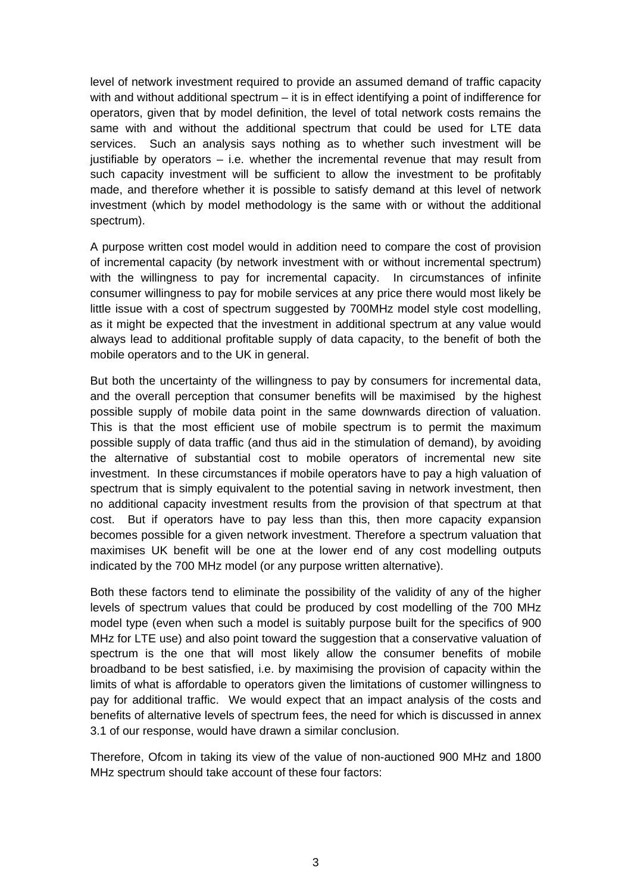level of network investment required to provide an assumed demand of traffic capacity with and without additional spectrum – it is in effect identifying a point of indifference for operators, given that by model definition, the level of total network costs remains the same with and without the additional spectrum that could be used for LTE data services. Such an analysis says nothing as to whether such investment will be justifiable by operators – i.e. whether the incremental revenue that may result from such capacity investment will be sufficient to allow the investment to be profitably made, and therefore whether it is possible to satisfy demand at this level of network investment (which by model methodology is the same with or without the additional spectrum).

A purpose written cost model would in addition need to compare the cost of provision of incremental capacity (by network investment with or without incremental spectrum) with the willingness to pay for incremental capacity. In circumstances of infinite consumer willingness to pay for mobile services at any price there would most likely be little issue with a cost of spectrum suggested by 700MHz model style cost modelling, as it might be expected that the investment in additional spectrum at any value would always lead to additional profitable supply of data capacity, to the benefit of both the mobile operators and to the UK in general.

But both the uncertainty of the willingness to pay by consumers for incremental data, and the overall perception that consumer benefits will be maximised by the highest possible supply of mobile data point in the same downwards direction of valuation. This is that the most efficient use of mobile spectrum is to permit the maximum possible supply of data traffic (and thus aid in the stimulation of demand), by avoiding the alternative of substantial cost to mobile operators of incremental new site investment. In these circumstances if mobile operators have to pay a high valuation of spectrum that is simply equivalent to the potential saving in network investment, then no additional capacity investment results from the provision of that spectrum at that cost. But if operators have to pay less than this, then more capacity expansion becomes possible for a given network investment. Therefore a spectrum valuation that maximises UK benefit will be one at the lower end of any cost modelling outputs indicated by the 700 MHz model (or any purpose written alternative).

Both these factors tend to eliminate the possibility of the validity of any of the higher levels of spectrum values that could be produced by cost modelling of the 700 MHz model type (even when such a model is suitably purpose built for the specifics of 900 MHz for LTE use) and also point toward the suggestion that a conservative valuation of spectrum is the one that will most likely allow the consumer benefits of mobile broadband to be best satisfied, i.e. by maximising the provision of capacity within the limits of what is affordable to operators given the limitations of customer willingness to pay for additional traffic. We would expect that an impact analysis of the costs and benefits of alternative levels of spectrum fees, the need for which is discussed in annex 3.1 of our response, would have drawn a similar conclusion.

Therefore, Ofcom in taking its view of the value of non-auctioned 900 MHz and 1800 MHz spectrum should take account of these four factors: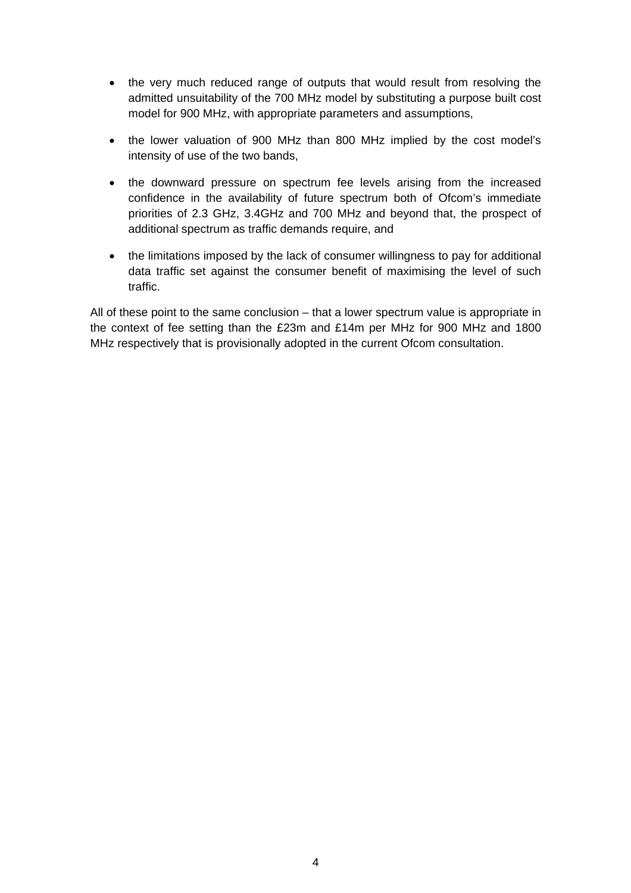- the very much reduced range of outputs that would result from resolving the admitted unsuitability of the 700 MHz model by substituting a purpose built cost model for 900 MHz, with appropriate parameters and assumptions,
- the lower valuation of 900 MHz than 800 MHz implied by the cost model's intensity of use of the two bands,
- the downward pressure on spectrum fee levels arising from the increased confidence in the availability of future spectrum both of Ofcom's immediate priorities of 2.3 GHz, 3.4GHz and 700 MHz and beyond that, the prospect of additional spectrum as traffic demands require, and
- the limitations imposed by the lack of consumer willingness to pay for additional data traffic set against the consumer benefit of maximising the level of such traffic.

All of these point to the same conclusion – that a lower spectrum value is appropriate in the context of fee setting than the £23m and £14m per MHz for 900 MHz and 1800 MHz respectively that is provisionally adopted in the current Ofcom consultation.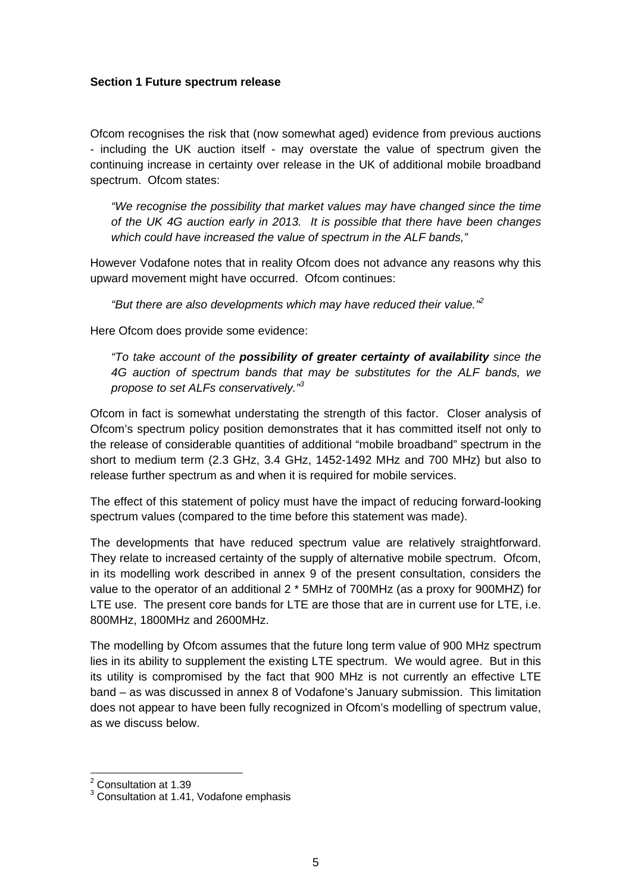#### **Section 1 Future spectrum release**

Ofcom recognises the risk that (now somewhat aged) evidence from previous auctions - including the UK auction itself - may overstate the value of spectrum given the continuing increase in certainty over release in the UK of additional mobile broadband spectrum. Ofcom states:

*"We recognise the possibility that market values may have changed since the time of the UK 4G auction early in 2013. It is possible that there have been changes which could have increased the value of spectrum in the ALF bands,"* 

However Vodafone notes that in reality Ofcom does not advance any reasons why this upward movement might have occurred. Ofcom continues:

*"But there are also developments which may have reduced their value."2* 

Here Ofcom does provide some evidence:

*"To take account of the possibility of greater certainty of availability since the 4G auction of spectrum bands that may be substitutes for the ALF bands, we propose to set ALFs conservatively."3* 

Ofcom in fact is somewhat understating the strength of this factor. Closer analysis of Ofcom's spectrum policy position demonstrates that it has committed itself not only to the release of considerable quantities of additional "mobile broadband" spectrum in the short to medium term (2.3 GHz, 3.4 GHz, 1452-1492 MHz and 700 MHz) but also to release further spectrum as and when it is required for mobile services.

The effect of this statement of policy must have the impact of reducing forward-looking spectrum values (compared to the time before this statement was made).

The developments that have reduced spectrum value are relatively straightforward. They relate to increased certainty of the supply of alternative mobile spectrum. Ofcom, in its modelling work described in annex 9 of the present consultation, considers the value to the operator of an additional 2 \* 5MHz of 700MHz (as a proxy for 900MHZ) for LTE use. The present core bands for LTE are those that are in current use for LTE, i.e. 800MHz, 1800MHz and 2600MHz.

The modelling by Ofcom assumes that the future long term value of 900 MHz spectrum lies in its ability to supplement the existing LTE spectrum. We would agree. But in this its utility is compromised by the fact that 900 MHz is not currently an effective LTE band – as was discussed in annex 8 of Vodafone's January submission. This limitation does not appear to have been fully recognized in Ofcom's modelling of spectrum value, as we discuss below.

 2 Consultation at 1.39

<sup>&</sup>lt;sup>3</sup> Consultation at 1.41, Vodafone emphasis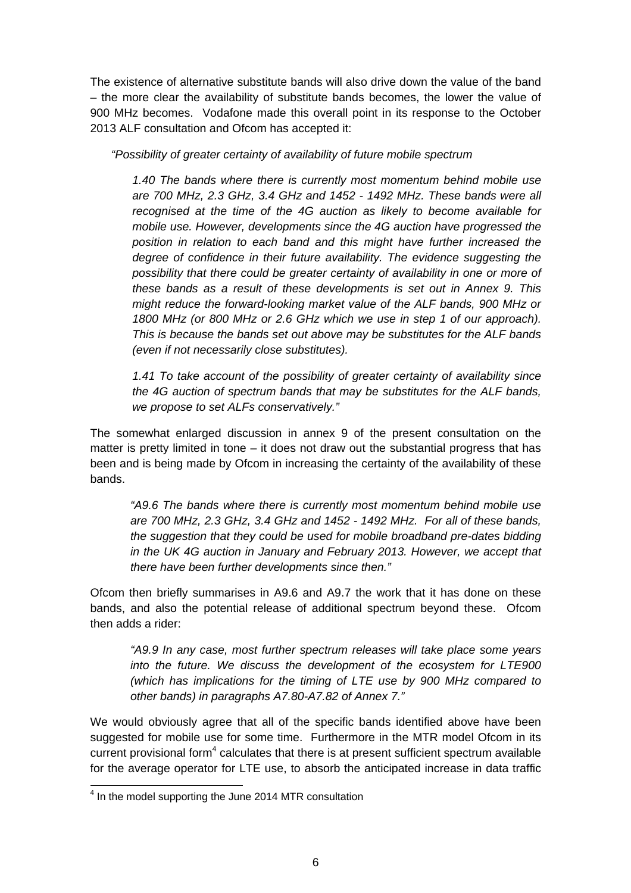The existence of alternative substitute bands will also drive down the value of the band – the more clear the availability of substitute bands becomes, the lower the value of 900 MHz becomes. Vodafone made this overall point in its response to the October 2013 ALF consultation and Ofcom has accepted it:

*"Possibility of greater certainty of availability of future mobile spectrum* 

*1.40 The bands where there is currently most momentum behind mobile use are 700 MHz, 2.3 GHz, 3.4 GHz and 1452 - 1492 MHz. These bands were all recognised at the time of the 4G auction as likely to become available for mobile use. However, developments since the 4G auction have progressed the position in relation to each band and this might have further increased the degree of confidence in their future availability. The evidence suggesting the possibility that there could be greater certainty of availability in one or more of these bands as a result of these developments is set out in Annex 9. This might reduce the forward-looking market value of the ALF bands, 900 MHz or 1800 MHz (or 800 MHz or 2.6 GHz which we use in step 1 of our approach). This is because the bands set out above may be substitutes for the ALF bands (even if not necessarily close substitutes).* 

*1.41 To take account of the possibility of greater certainty of availability since the 4G auction of spectrum bands that may be substitutes for the ALF bands, we propose to set ALFs conservatively."* 

The somewhat enlarged discussion in annex 9 of the present consultation on the matter is pretty limited in tone – it does not draw out the substantial progress that has been and is being made by Ofcom in increasing the certainty of the availability of these bands.

*"A9.6 The bands where there is currently most momentum behind mobile use are 700 MHz, 2.3 GHz, 3.4 GHz and 1452 - 1492 MHz. For all of these bands, the suggestion that they could be used for mobile broadband pre-dates bidding in the UK 4G auction in January and February 2013. However, we accept that there have been further developments since then."* 

Ofcom then briefly summarises in A9.6 and A9.7 the work that it has done on these bands, and also the potential release of additional spectrum beyond these. Ofcom then adds a rider:

*"A9.9 In any case, most further spectrum releases will take place some years into the future. We discuss the development of the ecosystem for LTE900 (which has implications for the timing of LTE use by 900 MHz compared to other bands) in paragraphs A7.80-A7.82 of Annex 7."* 

We would obviously agree that all of the specific bands identified above have been suggested for mobile use for some time. Furthermore in the MTR model Ofcom in its current provisional form $4$  calculates that there is at present sufficient spectrum available for the average operator for LTE use, to absorb the anticipated increase in data traffic

<sup>&</sup>lt;sup>4</sup> In the model supporting the June 2014 MTR consultation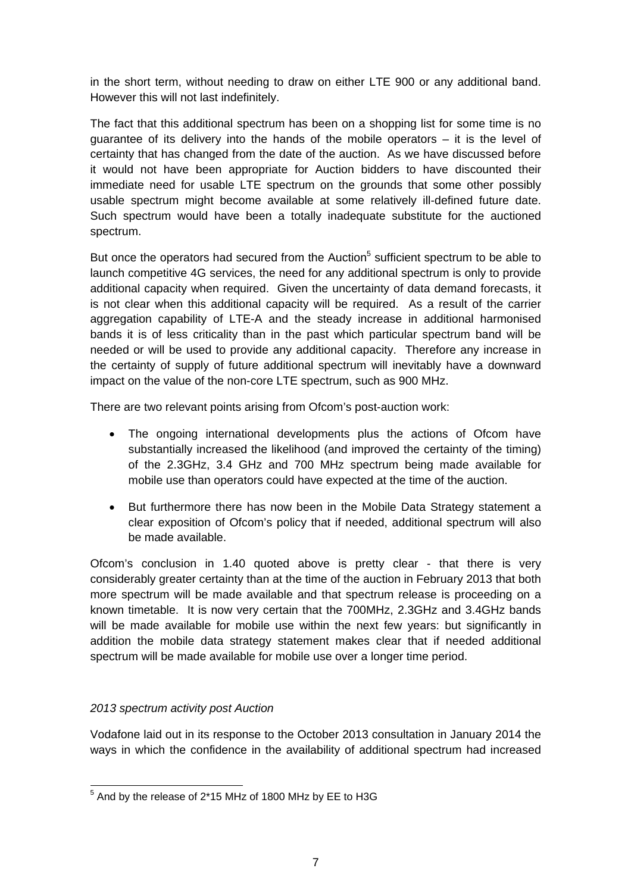in the short term, without needing to draw on either LTE 900 or any additional band. However this will not last indefinitely.

The fact that this additional spectrum has been on a shopping list for some time is no guarantee of its delivery into the hands of the mobile operators – it is the level of certainty that has changed from the date of the auction. As we have discussed before it would not have been appropriate for Auction bidders to have discounted their immediate need for usable LTE spectrum on the grounds that some other possibly usable spectrum might become available at some relatively ill-defined future date. Such spectrum would have been a totally inadequate substitute for the auctioned spectrum.

But once the operators had secured from the Auction<sup>5</sup> sufficient spectrum to be able to launch competitive 4G services, the need for any additional spectrum is only to provide additional capacity when required. Given the uncertainty of data demand forecasts, it is not clear when this additional capacity will be required. As a result of the carrier aggregation capability of LTE-A and the steady increase in additional harmonised bands it is of less criticality than in the past which particular spectrum band will be needed or will be used to provide any additional capacity. Therefore any increase in the certainty of supply of future additional spectrum will inevitably have a downward impact on the value of the non-core LTE spectrum, such as 900 MHz.

There are two relevant points arising from Ofcom's post-auction work:

- The ongoing international developments plus the actions of Ofcom have substantially increased the likelihood (and improved the certainty of the timing) of the 2.3GHz, 3.4 GHz and 700 MHz spectrum being made available for mobile use than operators could have expected at the time of the auction.
- But furthermore there has now been in the Mobile Data Strategy statement a clear exposition of Ofcom's policy that if needed, additional spectrum will also be made available.

Ofcom's conclusion in 1.40 quoted above is pretty clear - that there is very considerably greater certainty than at the time of the auction in February 2013 that both more spectrum will be made available and that spectrum release is proceeding on a known timetable. It is now very certain that the 700MHz, 2.3GHz and 3.4GHz bands will be made available for mobile use within the next few years: but significantly in addition the mobile data strategy statement makes clear that if needed additional spectrum will be made available for mobile use over a longer time period.

# *2013 spectrum activity post Auction*

Vodafone laid out in its response to the October 2013 consultation in January 2014 the ways in which the confidence in the availability of additional spectrum had increased

  $5$  And by the release of 2\*15 MHz of 1800 MHz by EE to H3G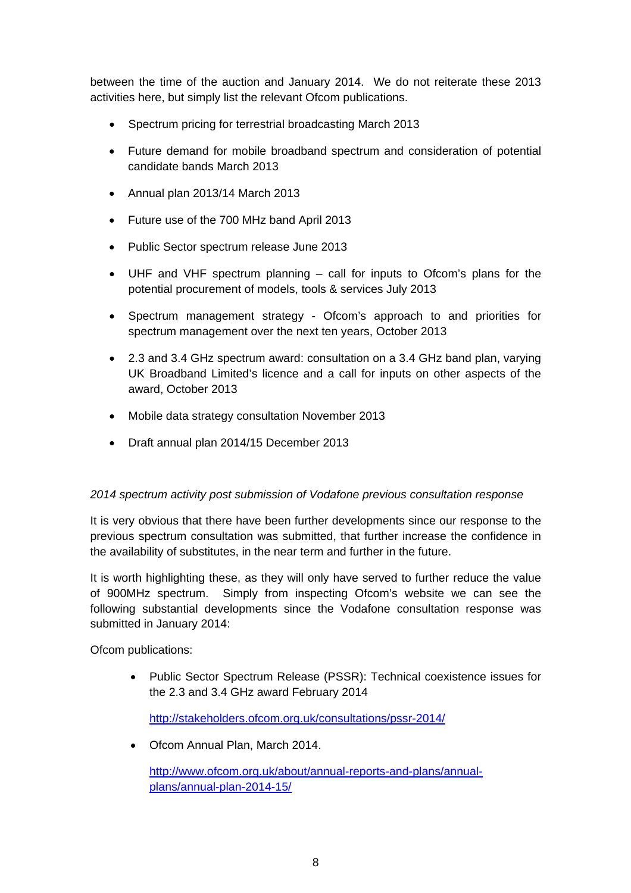between the time of the auction and January 2014. We do not reiterate these 2013 activities here, but simply list the relevant Ofcom publications.

- Spectrum pricing for terrestrial broadcasting March 2013
- Future demand for mobile broadband spectrum and consideration of potential candidate bands March 2013
- Annual plan 2013/14 March 2013
- Future use of the 700 MHz band April 2013
- Public Sector spectrum release June 2013
- UHF and VHF spectrum planning call for inputs to Ofcom's plans for the potential procurement of models, tools & services July 2013
- Spectrum management strategy Ofcom's approach to and priorities for spectrum management over the next ten years, October 2013
- 2.3 and 3.4 GHz spectrum award: consultation on a 3.4 GHz band plan, varying UK Broadband Limited's licence and a call for inputs on other aspects of the award, October 2013
- Mobile data strategy consultation November 2013
- Draft annual plan 2014/15 December 2013

# *2014 spectrum activity post submission of Vodafone previous consultation response*

It is very obvious that there have been further developments since our response to the previous spectrum consultation was submitted, that further increase the confidence in the availability of substitutes, in the near term and further in the future.

It is worth highlighting these, as they will only have served to further reduce the value of 900MHz spectrum. Simply from inspecting Ofcom's website we can see the following substantial developments since the Vodafone consultation response was submitted in January 2014:

Ofcom publications:

• Public Sector Spectrum Release (PSSR): Technical coexistence issues for the 2.3 and 3.4 GHz award February 2014

http://stakeholders.ofcom.org.uk/consultations/pssr-2014/

• Ofcom Annual Plan, March 2014.

http://www.ofcom.org.uk/about/annual-reports-and-plans/annualplans/annual-plan-2014-15/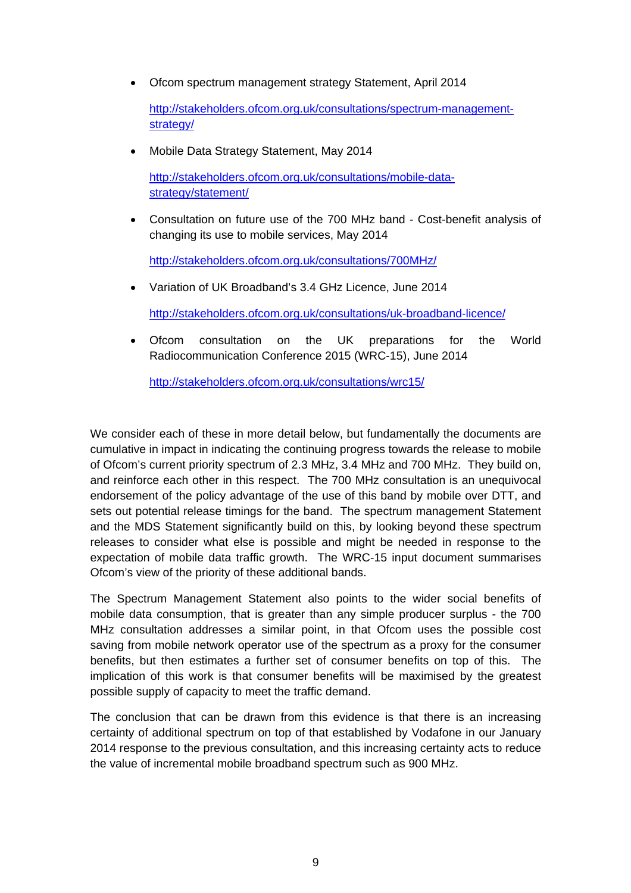• Ofcom spectrum management strategy Statement, April 2014

http://stakeholders.ofcom.org.uk/consultations/spectrum-managementstrategy/

• Mobile Data Strategy Statement, May 2014

http://stakeholders.ofcom.org.uk/consultations/mobile-datastrategy/statement/

• Consultation on future use of the 700 MHz band - Cost-benefit analysis of changing its use to mobile services, May 2014

http://stakeholders.ofcom.org.uk/consultations/700MHz/

• Variation of UK Broadband's 3.4 GHz Licence, June 2014

http://stakeholders.ofcom.org.uk/consultations/uk-broadband-licence/

• Ofcom consultation on the UK preparations for the World Radiocommunication Conference 2015 (WRC-15), June 2014

http://stakeholders.ofcom.org.uk/consultations/wrc15/

We consider each of these in more detail below, but fundamentally the documents are cumulative in impact in indicating the continuing progress towards the release to mobile of Ofcom's current priority spectrum of 2.3 MHz, 3.4 MHz and 700 MHz. They build on, and reinforce each other in this respect. The 700 MHz consultation is an unequivocal endorsement of the policy advantage of the use of this band by mobile over DTT, and sets out potential release timings for the band. The spectrum management Statement and the MDS Statement significantly build on this, by looking beyond these spectrum releases to consider what else is possible and might be needed in response to the expectation of mobile data traffic growth. The WRC-15 input document summarises Ofcom's view of the priority of these additional bands.

The Spectrum Management Statement also points to the wider social benefits of mobile data consumption, that is greater than any simple producer surplus - the 700 MHz consultation addresses a similar point, in that Ofcom uses the possible cost saving from mobile network operator use of the spectrum as a proxy for the consumer benefits, but then estimates a further set of consumer benefits on top of this. The implication of this work is that consumer benefits will be maximised by the greatest possible supply of capacity to meet the traffic demand.

The conclusion that can be drawn from this evidence is that there is an increasing certainty of additional spectrum on top of that established by Vodafone in our January 2014 response to the previous consultation, and this increasing certainty acts to reduce the value of incremental mobile broadband spectrum such as 900 MHz.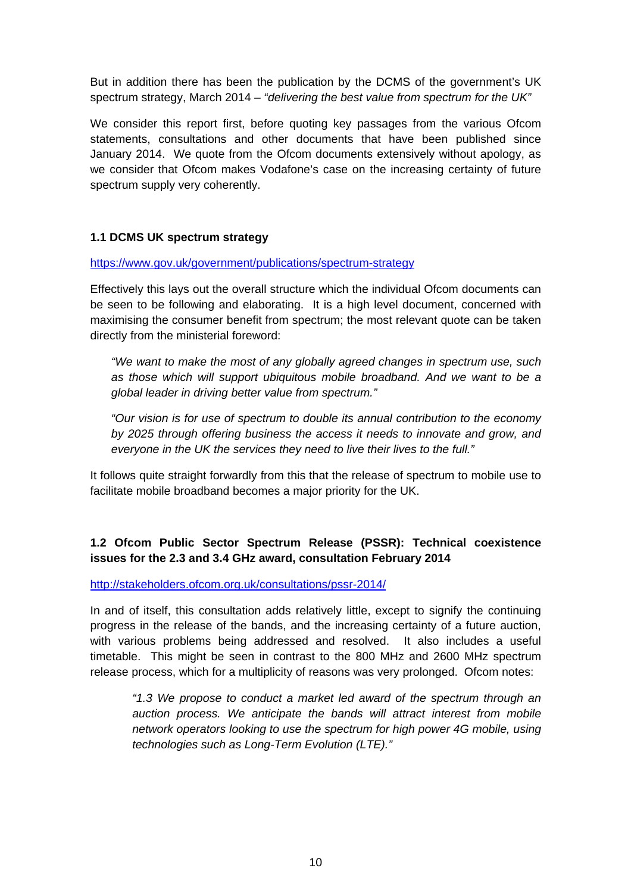But in addition there has been the publication by the DCMS of the government's UK spectrum strategy, March 2014 – *"delivering the best value from spectrum for the UK"*

We consider this report first, before quoting key passages from the various Ofcom statements, consultations and other documents that have been published since January 2014. We quote from the Ofcom documents extensively without apology, as we consider that Ofcom makes Vodafone's case on the increasing certainty of future spectrum supply very coherently.

# **1.1 DCMS UK spectrum strategy**

https://www.gov.uk/government/publications/spectrum-strategy

Effectively this lays out the overall structure which the individual Ofcom documents can be seen to be following and elaborating. It is a high level document, concerned with maximising the consumer benefit from spectrum; the most relevant quote can be taken directly from the ministerial foreword:

*"We want to make the most of any globally agreed changes in spectrum use, such as those which will support ubiquitous mobile broadband. And we want to be a global leader in driving better value from spectrum."* 

*"Our vision is for use of spectrum to double its annual contribution to the economy by 2025 through offering business the access it needs to innovate and grow, and everyone in the UK the services they need to live their lives to the full."* 

It follows quite straight forwardly from this that the release of spectrum to mobile use to facilitate mobile broadband becomes a major priority for the UK.

# **1.2 Ofcom Public Sector Spectrum Release (PSSR): Technical coexistence issues for the 2.3 and 3.4 GHz award, consultation February 2014**

http://stakeholders.ofcom.org.uk/consultations/pssr-2014/

In and of itself, this consultation adds relatively little, except to signify the continuing progress in the release of the bands, and the increasing certainty of a future auction, with various problems being addressed and resolved. It also includes a useful timetable. This might be seen in contrast to the 800 MHz and 2600 MHz spectrum release process, which for a multiplicity of reasons was very prolonged. Ofcom notes:

*"1.3 We propose to conduct a market led award of the spectrum through an auction process. We anticipate the bands will attract interest from mobile network operators looking to use the spectrum for high power 4G mobile, using technologies such as Long-Term Evolution (LTE)."*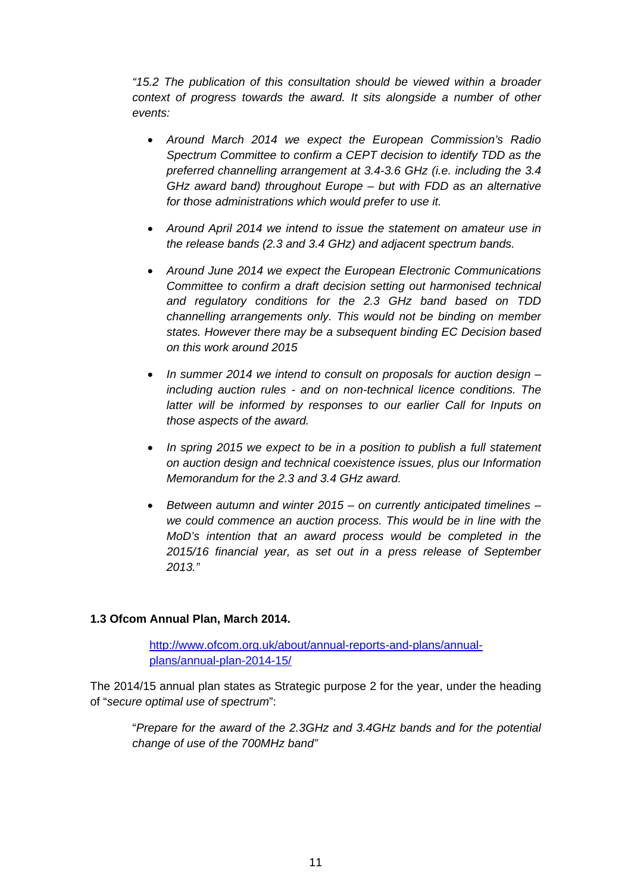*"15.2 The publication of this consultation should be viewed within a broader context of progress towards the award. It sits alongside a number of other events:* 

- *Around March 2014 we expect the European Commission's Radio Spectrum Committee to confirm a CEPT decision to identify TDD as the preferred channelling arrangement at 3.4-3.6 GHz (i.e. including the 3.4 GHz award band) throughout Europe – but with FDD as an alternative for those administrations which would prefer to use it.*
- *Around April 2014 we intend to issue the statement on amateur use in the release bands (2.3 and 3.4 GHz) and adjacent spectrum bands.*
- *Around June 2014 we expect the European Electronic Communications Committee to confirm a draft decision setting out harmonised technical and regulatory conditions for the 2.3 GHz band based on TDD channelling arrangements only. This would not be binding on member states. However there may be a subsequent binding EC Decision based on this work around 2015*
- *In summer 2014 we intend to consult on proposals for auction design including auction rules - and on non-technical licence conditions. The latter will be informed by responses to our earlier Call for Inputs on those aspects of the award.*
- *In spring 2015 we expect to be in a position to publish a full statement on auction design and technical coexistence issues, plus our Information Memorandum for the 2.3 and 3.4 GHz award.*
- *Between autumn and winter 2015 on currently anticipated timelines we could commence an auction process. This would be in line with the MoD's intention that an award process would be completed in the 2015/16 financial year, as set out in a press release of September 2013."*

#### **1.3 Ofcom Annual Plan, March 2014.**

http://www.ofcom.org.uk/about/annual-reports-and-plans/annualplans/annual-plan-2014-15/

The 2014/15 annual plan states as Strategic purpose 2 for the year, under the heading of "*secure optimal use of spectrum*":

"*Prepare for the award of the 2.3GHz and 3.4GHz bands and for the potential change of use of the 700MHz band"*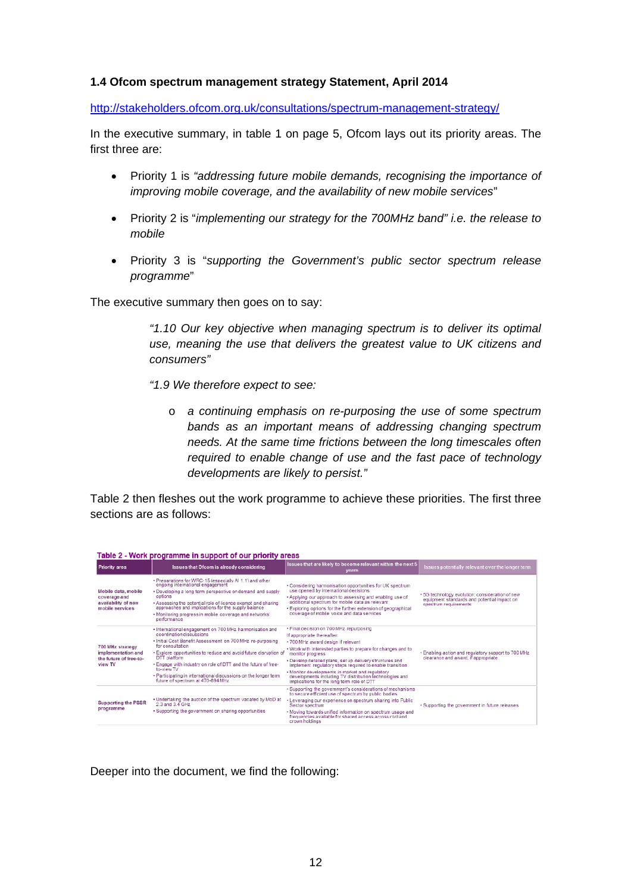#### **1.4 Ofcom spectrum management strategy Statement, April 2014**

http://stakeholders.ofcom.org.uk/consultations/spectrum-management-strategy/

In the executive summary, in table 1 on page 5, Ofcom lays out its priority areas. The first three are:

- Priority 1 is *"addressing future mobile demands, recognising the importance of improving mobile coverage, and the availability of new mobile services*"
- Priority 2 is "*implementing our strategy for the 700MHz band" i.e. the release to mobile*
- Priority 3 is "*supporting the Government's public sector spectrum release programme*"

The executive summary then goes on to say:

*"1.10 Our key objective when managing spectrum is to deliver its optimal use, meaning the use that delivers the greatest value to UK citizens and consumers"* 

*"1.9 We therefore expect to see:* 

o *a continuing emphasis on re-purposing the use of some spectrum bands as an important means of addressing changing spectrum needs. At the same time frictions between the long timescales often required to enable change of use and the fast pace of technology developments are likely to persist."* 

Table 2 then fleshes out the work programme to achieve these priorities. The first three sections are as follows:

| Table 2 - Work programme in support of our priority areas                     |                                                                                                                                                                                                                                                                                                                                                                                                                                                 |                                                                                                                                                                                                                                                                                                                                                                                                                                                                                     |                                                                                                                        |  |  |  |  |
|-------------------------------------------------------------------------------|-------------------------------------------------------------------------------------------------------------------------------------------------------------------------------------------------------------------------------------------------------------------------------------------------------------------------------------------------------------------------------------------------------------------------------------------------|-------------------------------------------------------------------------------------------------------------------------------------------------------------------------------------------------------------------------------------------------------------------------------------------------------------------------------------------------------------------------------------------------------------------------------------------------------------------------------------|------------------------------------------------------------------------------------------------------------------------|--|--|--|--|
| <b>Priority area</b>                                                          | <b>Issues that Ofcom is already considering</b>                                                                                                                                                                                                                                                                                                                                                                                                 | Issues that are likely to become relevant within the next 5<br>vears                                                                                                                                                                                                                                                                                                                                                                                                                | Issues potentially relevant over the longer term                                                                       |  |  |  |  |
| Mobile data, mobile<br>coverage and<br>availability of new<br>mobile services | . Preparations for WRC-15 (especially Al 1.1) and other<br>ongoing international engagement<br>. Developing a long term perspective on demand and supply<br>options<br>. Assessing the potential role of licence exempt and sharing<br>approaches and implications for the supply balance<br>. Monitoring progress in mobile coverage and networks'<br>performance                                                                              | . Considering harmonisation opportunities for UK spectrum<br>use opened by international decisions<br>• Applying our approach to assessing and enabling use of<br>additional spectrum for mobile data as relevant<br>. Exploring options for the further extension of geographical<br>coverage of mobile voice and data services                                                                                                                                                    | .5G technology evolution: consideration of new<br>equipment standards and potential impact on<br>spectrum requirements |  |  |  |  |
| 700 MHz strategy<br>implementation and<br>the future of free-to-<br>view TV   | • International engagement on 700 MHz harmonisation and<br>coordination discussions<br>. Initial Cost Benefit Assessment on 700 MHz re-purposing<br>for consultation<br>. Explore opportunities to reduce and avoid future disruption of<br>DTT platform<br>. Engage with industry on role of DTT and the future of free-<br>to-view TV<br>· Participating in international discussions on the longer term<br>future of spectrum at 470-694 MHz | • Final decision on 700 MHz repurposing<br>If appropriate thereafter:<br>• 700 MHz award design if relevant<br>. Work with interested parties to prepare for changes and to<br>monitor progress<br>. Develop detailed plans, set up delivery structures and<br>implement regulatory steps required to enable transition<br>. Monitor developments in market and regulatory<br>developments including TV distribution technologies and<br>implications for the long term role of DTT | . Enabling action and regulatory support to 700 MHz<br>clearance and award, if appropriate                             |  |  |  |  |
| <b>Supporting the PSSR</b><br>programme                                       | . Undertaking the auction of the spectrum vacated by MoD at<br>2.3 and 3.4 GHz<br>. Supporting the government on sharing opportunities                                                                                                                                                                                                                                                                                                          | • Supporting the government's considerations of mechanisms<br>to secure efficient use of spectrum by public bodies<br>• Leveraging our experience on spectrum sharing into Public<br>Sector spectrum<br>. Moving towards unified information on spectrum usage and<br>frequencies available for shared access across civil and<br>crown holdings.                                                                                                                                   | . Supporting the government in future releases                                                                         |  |  |  |  |

#### Taking A (Mind) and manager in account of account city and account

Deeper into the document, we find the following: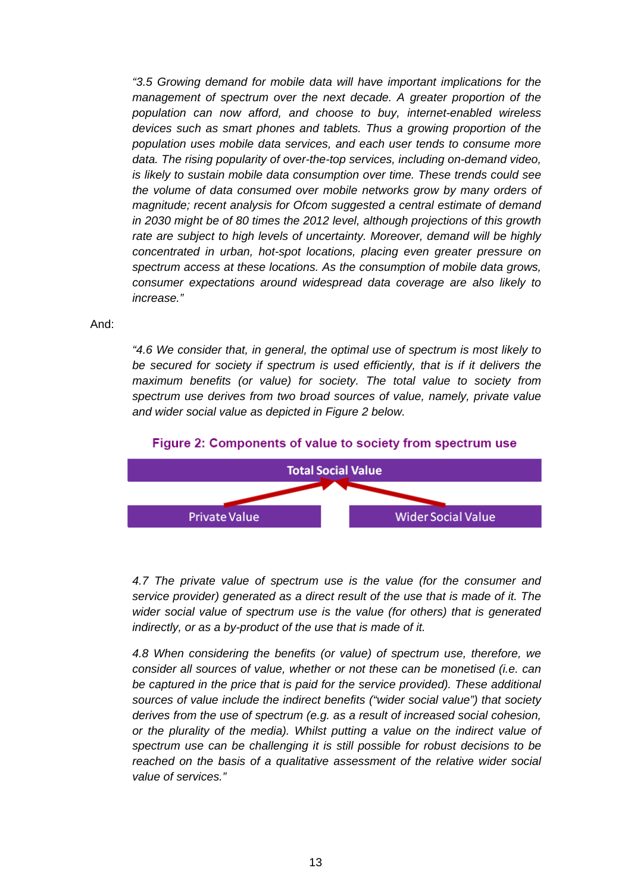*"3.5 Growing demand for mobile data will have important implications for the management of spectrum over the next decade. A greater proportion of the population can now afford, and choose to buy, internet-enabled wireless devices such as smart phones and tablets. Thus a growing proportion of the population uses mobile data services, and each user tends to consume more data. The rising popularity of over-the-top services, including on-demand video, is likely to sustain mobile data consumption over time. These trends could see the volume of data consumed over mobile networks grow by many orders of magnitude; recent analysis for Ofcom suggested a central estimate of demand in 2030 might be of 80 times the 2012 level, although projections of this growth*  rate are subject to high levels of uncertainty. Moreover, demand will be highly *concentrated in urban, hot-spot locations, placing even greater pressure on spectrum access at these locations. As the consumption of mobile data grows, consumer expectations around widespread data coverage are also likely to increase."* 

And:

*"4.6 We consider that, in general, the optimal use of spectrum is most likely to be secured for society if spectrum is used efficiently, that is if it delivers the maximum benefits (or value) for society. The total value to society from spectrum use derives from two broad sources of value, namely, private value and wider social value as depicted in Figure 2 below.* 



#### Figure 2: Components of value to society from spectrum use

*4.7 The private value of spectrum use is the value (for the consumer and service provider) generated as a direct result of the use that is made of it. The wider social value of spectrum use is the value (for others) that is generated indirectly, or as a by-product of the use that is made of it.* 

*4.8 When considering the benefits (or value) of spectrum use, therefore, we consider all sources of value, whether or not these can be monetised (i.e. can*  be captured in the price that is paid for the service provided). These additional *sources of value include the indirect benefits ("wider social value") that society derives from the use of spectrum (e.g. as a result of increased social cohesion, or the plurality of the media). Whilst putting a value on the indirect value of spectrum use can be challenging it is still possible for robust decisions to be reached on the basis of a qualitative assessment of the relative wider social value of services."*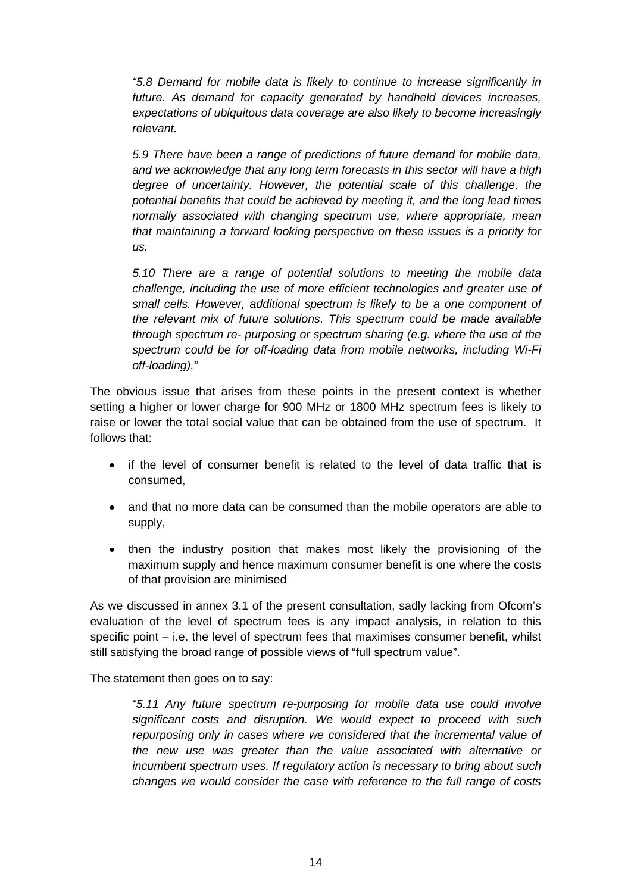*"5.8 Demand for mobile data is likely to continue to increase significantly in future. As demand for capacity generated by handheld devices increases, expectations of ubiquitous data coverage are also likely to become increasingly relevant.* 

*5.9 There have been a range of predictions of future demand for mobile data, and we acknowledge that any long term forecasts in this sector will have a high degree of uncertainty. However, the potential scale of this challenge, the potential benefits that could be achieved by meeting it, and the long lead times normally associated with changing spectrum use, where appropriate, mean that maintaining a forward looking perspective on these issues is a priority for us.* 

*5.10 There are a range of potential solutions to meeting the mobile data challenge, including the use of more efficient technologies and greater use of small cells. However, additional spectrum is likely to be a one component of the relevant mix of future solutions. This spectrum could be made available through spectrum re- purposing or spectrum sharing (e.g. where the use of the spectrum could be for off-loading data from mobile networks, including Wi-Fi off-loading)."* 

The obvious issue that arises from these points in the present context is whether setting a higher or lower charge for 900 MHz or 1800 MHz spectrum fees is likely to raise or lower the total social value that can be obtained from the use of spectrum. It follows that:

- if the level of consumer benefit is related to the level of data traffic that is consumed,
- and that no more data can be consumed than the mobile operators are able to supply,
- then the industry position that makes most likely the provisioning of the maximum supply and hence maximum consumer benefit is one where the costs of that provision are minimised

As we discussed in annex 3.1 of the present consultation, sadly lacking from Ofcom's evaluation of the level of spectrum fees is any impact analysis, in relation to this specific point – i.e. the level of spectrum fees that maximises consumer benefit, whilst still satisfying the broad range of possible views of "full spectrum value".

The statement then goes on to say:

*"5.11 Any future spectrum re-purposing for mobile data use could involve significant costs and disruption. We would expect to proceed with such repurposing only in cases where we considered that the incremental value of the new use was greater than the value associated with alternative or incumbent spectrum uses. If regulatory action is necessary to bring about such changes we would consider the case with reference to the full range of costs*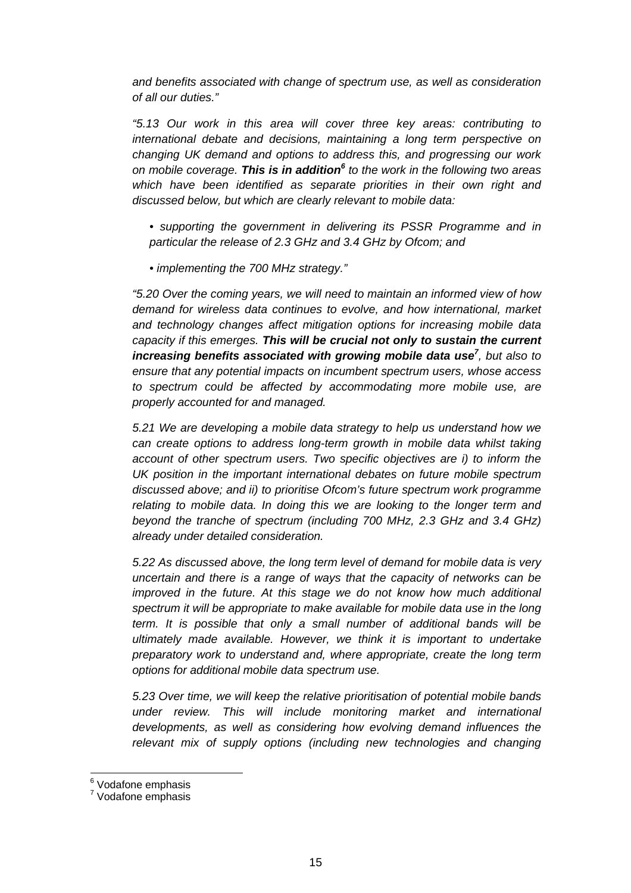*and benefits associated with change of spectrum use, as well as consideration of all our duties."* 

*"5.13 Our work in this area will cover three key areas: contributing to international debate and decisions, maintaining a long term perspective on changing UK demand and options to address this, and progressing our work on mobile coverage. This is in addition6 to the work in the following two areas which have been identified as separate priorities in their own right and discussed below, but which are clearly relevant to mobile data:* 

- *supporting the government in delivering its PSSR Programme and in particular the release of 2.3 GHz and 3.4 GHz by Ofcom; and*
- *implementing the 700 MHz strategy."*

*"5.20 Over the coming years, we will need to maintain an informed view of how demand for wireless data continues to evolve, and how international, market and technology changes affect mitigation options for increasing mobile data capacity if this emerges. This will be crucial not only to sustain the current increasing benefits associated with growing mobile data use<sup>7</sup>, but also to ensure that any potential impacts on incumbent spectrum users, whose access to spectrum could be affected by accommodating more mobile use, are properly accounted for and managed.* 

*5.21 We are developing a mobile data strategy to help us understand how we can create options to address long-term growth in mobile data whilst taking account of other spectrum users. Two specific objectives are i) to inform the UK position in the important international debates on future mobile spectrum discussed above; and ii) to prioritise Ofcom's future spectrum work programme relating to mobile data. In doing this we are looking to the longer term and beyond the tranche of spectrum (including 700 MHz, 2.3 GHz and 3.4 GHz) already under detailed consideration.* 

*5.22 As discussed above, the long term level of demand for mobile data is very uncertain and there is a range of ways that the capacity of networks can be improved in the future. At this stage we do not know how much additional spectrum it will be appropriate to make available for mobile data use in the long term. It is possible that only a small number of additional bands will be ultimately made available. However, we think it is important to undertake preparatory work to understand and, where appropriate, create the long term options for additional mobile data spectrum use.* 

*5.23 Over time, we will keep the relative prioritisation of potential mobile bands under review. This will include monitoring market and international developments, as well as considering how evolving demand influences the relevant mix of supply options (including new technologies and changing* 

 6 Vodafone emphasis

<sup>&</sup>lt;sup>7</sup> Vodafone emphasis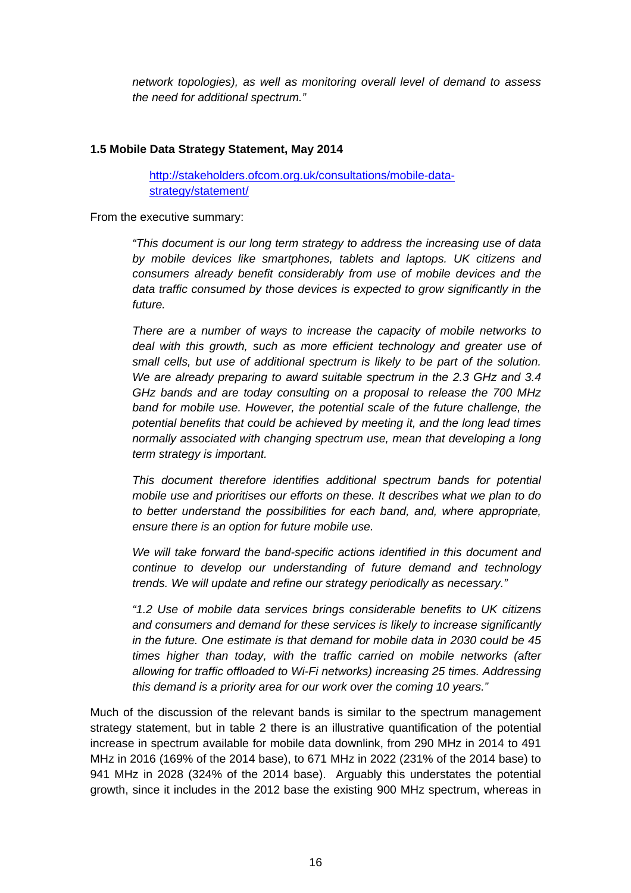*network topologies), as well as monitoring overall level of demand to assess the need for additional spectrum."* 

### **1.5 Mobile Data Strategy Statement, May 2014**

http://stakeholders.ofcom.org.uk/consultations/mobile-datastrategy/statement/

From the executive summary:

*"This document is our long term strategy to address the increasing use of data by mobile devices like smartphones, tablets and laptops. UK citizens and consumers already benefit considerably from use of mobile devices and the data traffic consumed by those devices is expected to grow significantly in the future.* 

*There are a number of ways to increase the capacity of mobile networks to deal with this growth, such as more efficient technology and greater use of small cells, but use of additional spectrum is likely to be part of the solution. We are already preparing to award suitable spectrum in the 2.3 GHz and 3.4 GHz bands and are today consulting on a proposal to release the 700 MHz*  band for mobile use. However, the potential scale of the future challenge, the *potential benefits that could be achieved by meeting it, and the long lead times normally associated with changing spectrum use, mean that developing a long term strategy is important.* 

*This document therefore identifies additional spectrum bands for potential mobile use and prioritises our efforts on these. It describes what we plan to do to better understand the possibilities for each band, and, where appropriate, ensure there is an option for future mobile use.* 

*We will take forward the band-specific actions identified in this document and continue to develop our understanding of future demand and technology trends. We will update and refine our strategy periodically as necessary."* 

*"1.2 Use of mobile data services brings considerable benefits to UK citizens and consumers and demand for these services is likely to increase significantly in the future. One estimate is that demand for mobile data in 2030 could be 45 times higher than today, with the traffic carried on mobile networks (after allowing for traffic offloaded to Wi-Fi networks) increasing 25 times. Addressing this demand is a priority area for our work over the coming 10 years."* 

Much of the discussion of the relevant bands is similar to the spectrum management strategy statement, but in table 2 there is an illustrative quantification of the potential increase in spectrum available for mobile data downlink, from 290 MHz in 2014 to 491 MHz in 2016 (169% of the 2014 base), to 671 MHz in 2022 (231% of the 2014 base) to 941 MHz in 2028 (324% of the 2014 base). Arguably this understates the potential growth, since it includes in the 2012 base the existing 900 MHz spectrum, whereas in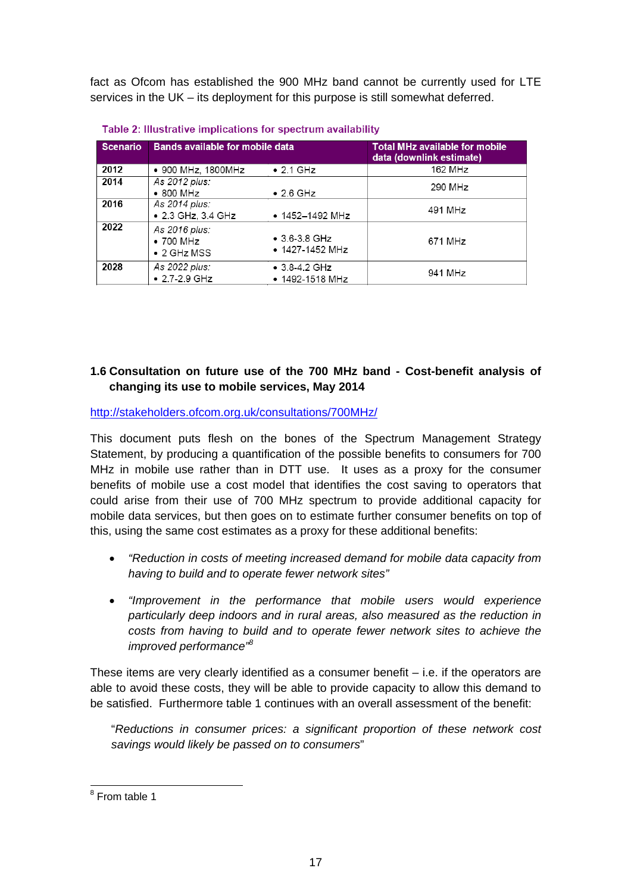fact as Ofcom has established the 900 MHz band cannot be currently used for LTE services in the UK – its deployment for this purpose is still somewhat deferred.

| <b>Scenario</b> | <b>Bands available for mobile data</b>                    |                                                  | <b>Total MHz available for mobile</b><br>data (downlink estimate) |  |
|-----------------|-----------------------------------------------------------|--------------------------------------------------|-------------------------------------------------------------------|--|
| 2012            | • 900 MHz, 1800MHz                                        | $\bullet$ 2.1 GHz                                | 162 MHz                                                           |  |
| 2014            | As 2012 plus:<br>$\bullet$ 800 MHz                        | $\bullet$ 2.6 GHz                                | 290 MHz                                                           |  |
| 2016            | As 2014 plus:<br>• 2.3 GHz, 3.4 GHz                       | $\bullet$ 1452-1492 MHz                          | 491 MHz                                                           |  |
| 2022            | As 2016 plus:<br>$\bullet$ 700 MHz<br>$\bullet$ 2 GHz MSS | $\bullet$ 3.6-3.8 GHz<br>$\bullet$ 1427-1452 MHz | 671 MHz                                                           |  |
| 2028            | As 2022 plus:<br>$• 2.7 - 2.9$ GHz                        | $\bullet$ 3.8-4.2 GHz<br>• 1492-1518 MHz         | 941 MHz                                                           |  |

| Table 2: Illustrative implications for spectrum availability |  |  |
|--------------------------------------------------------------|--|--|
|                                                              |  |  |

## **1.6 Consultation on future use of the 700 MHz band - Cost-benefit analysis of changing its use to mobile services, May 2014**

http://stakeholders.ofcom.org.uk/consultations/700MHz/

This document puts flesh on the bones of the Spectrum Management Strategy Statement, by producing a quantification of the possible benefits to consumers for 700 MHz in mobile use rather than in DTT use. It uses as a proxy for the consumer benefits of mobile use a cost model that identifies the cost saving to operators that could arise from their use of 700 MHz spectrum to provide additional capacity for mobile data services, but then goes on to estimate further consumer benefits on top of this, using the same cost estimates as a proxy for these additional benefits:

- *"Reduction in costs of meeting increased demand for mobile data capacity from having to build and to operate fewer network sites"*
- *"Improvement in the performance that mobile users would experience particularly deep indoors and in rural areas, also measured as the reduction in costs from having to build and to operate fewer network sites to achieve the improved performance"8*

These items are very clearly identified as a consumer benefit  $-$  i.e. if the operators are able to avoid these costs, they will be able to provide capacity to allow this demand to be satisfied. Furthermore table 1 continues with an overall assessment of the benefit:

"*Reductions in consumer prices: a significant proportion of these network cost savings would likely be passed on to consumers*"

<sup>&</sup>lt;sup>8</sup> From table 1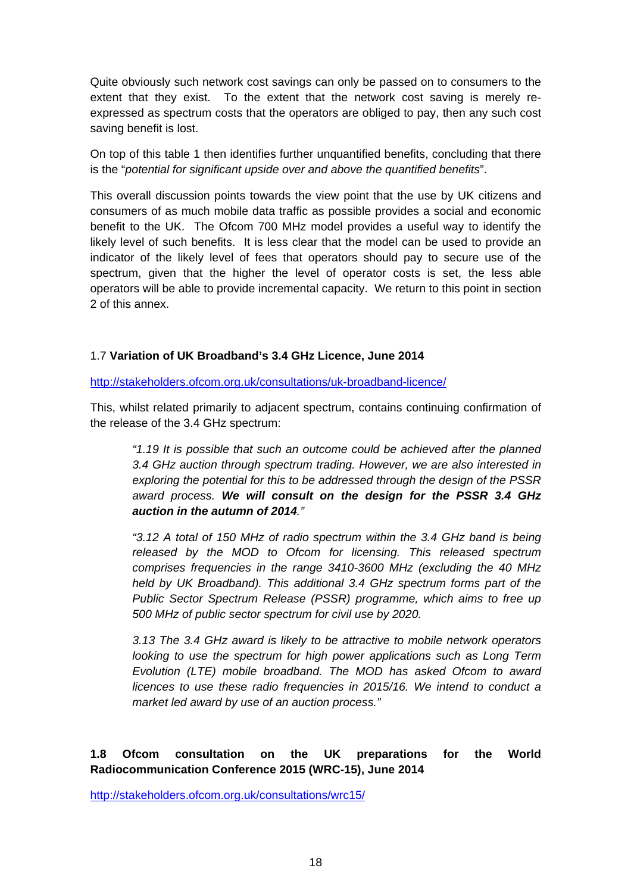Quite obviously such network cost savings can only be passed on to consumers to the extent that they exist. To the extent that the network cost saving is merely reexpressed as spectrum costs that the operators are obliged to pay, then any such cost saving benefit is lost.

On top of this table 1 then identifies further unquantified benefits, concluding that there is the "*potential for significant upside over and above the quantified benefits*".

This overall discussion points towards the view point that the use by UK citizens and consumers of as much mobile data traffic as possible provides a social and economic benefit to the UK. The Ofcom 700 MHz model provides a useful way to identify the likely level of such benefits. It is less clear that the model can be used to provide an indicator of the likely level of fees that operators should pay to secure use of the spectrum, given that the higher the level of operator costs is set, the less able operators will be able to provide incremental capacity. We return to this point in section 2 of this annex.

# 1.7 **Variation of UK Broadband's 3.4 GHz Licence, June 2014**

http://stakeholders.ofcom.org.uk/consultations/uk-broadband-licence/

This, whilst related primarily to adjacent spectrum, contains continuing confirmation of the release of the 3.4 GHz spectrum:

*"1.19 It is possible that such an outcome could be achieved after the planned 3.4 GHz auction through spectrum trading. However, we are also interested in exploring the potential for this to be addressed through the design of the PSSR award process. We will consult on the design for the PSSR 3.4 GHz auction in the autumn of 2014."*

*"3.12 A total of 150 MHz of radio spectrum within the 3.4 GHz band is being released by the MOD to Ofcom for licensing. This released spectrum comprises frequencies in the range 3410-3600 MHz (excluding the 40 MHz held by UK Broadband). This additional 3.4 GHz spectrum forms part of the Public Sector Spectrum Release (PSSR) programme, which aims to free up 500 MHz of public sector spectrum for civil use by 2020.* 

*3.13 The 3.4 GHz award is likely to be attractive to mobile network operators looking to use the spectrum for high power applications such as Long Term Evolution (LTE) mobile broadband. The MOD has asked Ofcom to award licences to use these radio frequencies in 2015/16. We intend to conduct a market led award by use of an auction process."* 

# **1.8 Ofcom consultation on the UK preparations for the World Radiocommunication Conference 2015 (WRC-15), June 2014**

http://stakeholders.ofcom.org.uk/consultations/wrc15/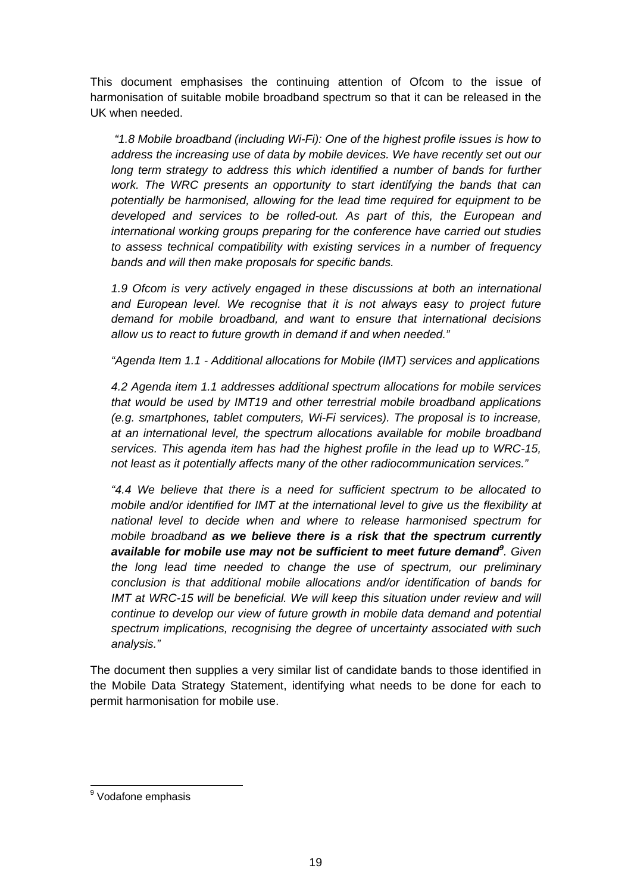This document emphasises the continuing attention of Ofcom to the issue of harmonisation of suitable mobile broadband spectrum so that it can be released in the UK when needed.

 *"1.8 Mobile broadband (including Wi-Fi): One of the highest profile issues is how to address the increasing use of data by mobile devices. We have recently set out our long term strategy to address this which identified a number of bands for further work. The WRC presents an opportunity to start identifying the bands that can potentially be harmonised, allowing for the lead time required for equipment to be developed and services to be rolled-out. As part of this, the European and international working groups preparing for the conference have carried out studies to assess technical compatibility with existing services in a number of frequency bands and will then make proposals for specific bands.* 

*1.9 Ofcom is very actively engaged in these discussions at both an international and European level. We recognise that it is not always easy to project future demand for mobile broadband, and want to ensure that international decisions allow us to react to future growth in demand if and when needed."*

*"Agenda Item 1.1 - Additional allocations for Mobile (IMT) services and applications* 

*4.2 Agenda item 1.1 addresses additional spectrum allocations for mobile services that would be used by IMT19 and other terrestrial mobile broadband applications (e.g. smartphones, tablet computers, Wi-Fi services). The proposal is to increase, at an international level, the spectrum allocations available for mobile broadband services. This agenda item has had the highest profile in the lead up to WRC-15, not least as it potentially affects many of the other radiocommunication services."* 

*"4.4 We believe that there is a need for sufficient spectrum to be allocated to mobile and/or identified for IMT at the international level to give us the flexibility at national level to decide when and where to release harmonised spectrum for mobile broadband as we believe there is a risk that the spectrum currently available for mobile use may not be sufficient to meet future demand<sup>9</sup> . Given the long lead time needed to change the use of spectrum, our preliminary conclusion is that additional mobile allocations and/or identification of bands for IMT at WRC-15 will be beneficial. We will keep this situation under review and will continue to develop our view of future growth in mobile data demand and potential spectrum implications, recognising the degree of uncertainty associated with such analysis."* 

The document then supplies a very similar list of candidate bands to those identified in the Mobile Data Strategy Statement, identifying what needs to be done for each to permit harmonisation for mobile use.

 9 Vodafone emphasis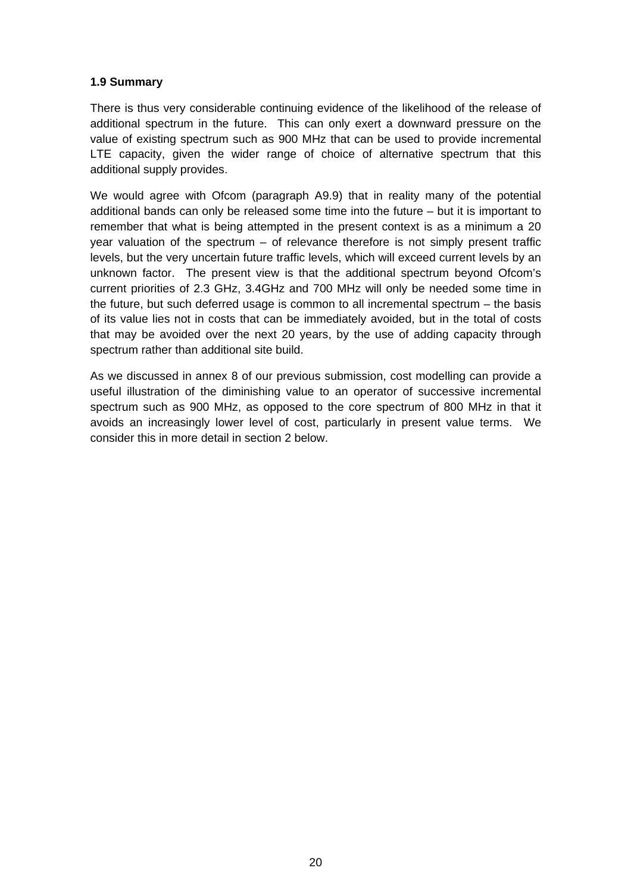#### **1.9 Summary**

There is thus very considerable continuing evidence of the likelihood of the release of additional spectrum in the future. This can only exert a downward pressure on the value of existing spectrum such as 900 MHz that can be used to provide incremental LTE capacity, given the wider range of choice of alternative spectrum that this additional supply provides.

We would agree with Ofcom (paragraph A9.9) that in reality many of the potential additional bands can only be released some time into the future – but it is important to remember that what is being attempted in the present context is as a minimum a 20 year valuation of the spectrum – of relevance therefore is not simply present traffic levels, but the very uncertain future traffic levels, which will exceed current levels by an unknown factor. The present view is that the additional spectrum beyond Ofcom's current priorities of 2.3 GHz, 3.4GHz and 700 MHz will only be needed some time in the future, but such deferred usage is common to all incremental spectrum – the basis of its value lies not in costs that can be immediately avoided, but in the total of costs that may be avoided over the next 20 years, by the use of adding capacity through spectrum rather than additional site build.

As we discussed in annex 8 of our previous submission, cost modelling can provide a useful illustration of the diminishing value to an operator of successive incremental spectrum such as 900 MHz, as opposed to the core spectrum of 800 MHz in that it avoids an increasingly lower level of cost, particularly in present value terms. We consider this in more detail in section 2 below.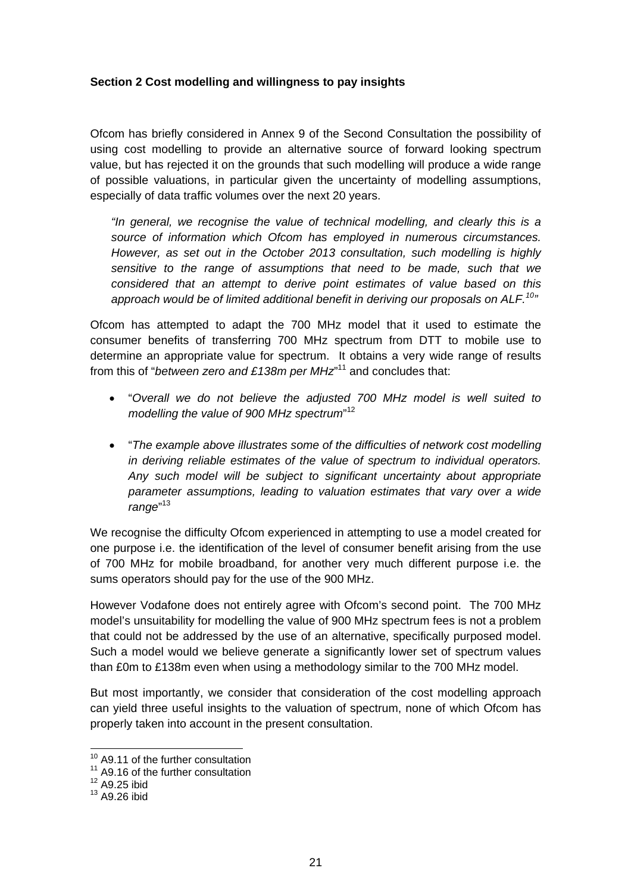## **Section 2 Cost modelling and willingness to pay insights**

Ofcom has briefly considered in Annex 9 of the Second Consultation the possibility of using cost modelling to provide an alternative source of forward looking spectrum value, but has rejected it on the grounds that such modelling will produce a wide range of possible valuations, in particular given the uncertainty of modelling assumptions, especially of data traffic volumes over the next 20 years.

*"In general, we recognise the value of technical modelling, and clearly this is a source of information which Ofcom has employed in numerous circumstances. However, as set out in the October 2013 consultation, such modelling is highly sensitive to the range of assumptions that need to be made, such that we considered that an attempt to derive point estimates of value based on this approach would be of limited additional benefit in deriving our proposals on ALF.10"* 

Ofcom has attempted to adapt the 700 MHz model that it used to estimate the consumer benefits of transferring 700 MHz spectrum from DTT to mobile use to determine an appropriate value for spectrum. It obtains a very wide range of results from this of "*between zero and £138m per MHz*"<sup>11</sup> and concludes that:

- "*Overall we do not believe the adjusted 700 MHz model is well suited to modelling the value of 900 MHz spectrum*" 12
- "*The example above illustrates some of the difficulties of network cost modelling in deriving reliable estimates of the value of spectrum to individual operators. Any such model will be subject to significant uncertainty about appropriate parameter assumptions, leading to valuation estimates that vary over a wide range*" 13

We recognise the difficulty Ofcom experienced in attempting to use a model created for one purpose i.e. the identification of the level of consumer benefit arising from the use of 700 MHz for mobile broadband, for another very much different purpose i.e. the sums operators should pay for the use of the 900 MHz.

However Vodafone does not entirely agree with Ofcom's second point. The 700 MHz model's unsuitability for modelling the value of 900 MHz spectrum fees is not a problem that could not be addressed by the use of an alternative, specifically purposed model. Such a model would we believe generate a significantly lower set of spectrum values than £0m to £138m even when using a methodology similar to the 700 MHz model.

But most importantly, we consider that consideration of the cost modelling approach can yield three useful insights to the valuation of spectrum, none of which Ofcom has properly taken into account in the present consultation.

 $10<sup>10</sup>$  A9.11 of the further consultation

<sup>&</sup>lt;sup>11</sup> A9.16 of the further consultation

 $12$  A9.25 ibid

<sup>13</sup> A9.26 ibid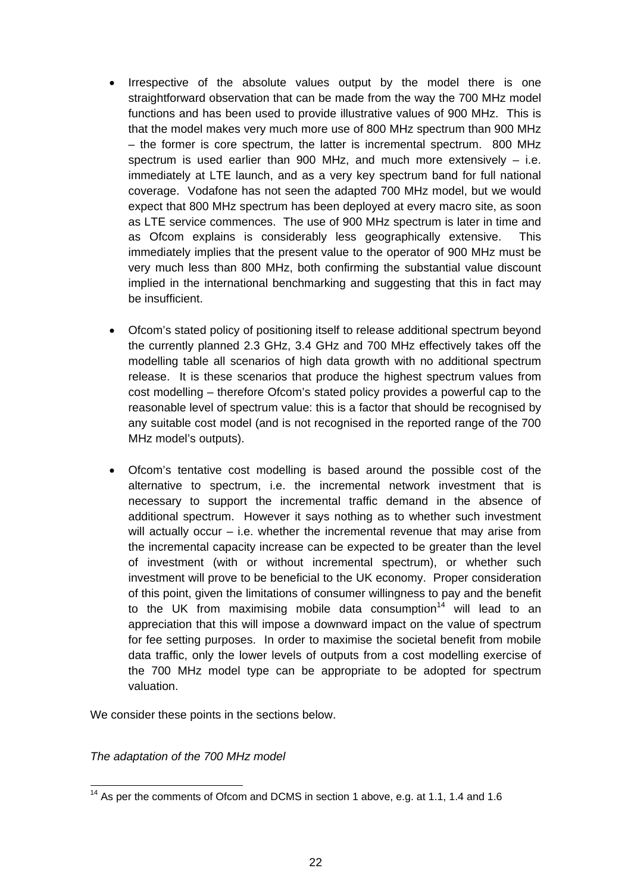- Irrespective of the absolute values output by the model there is one straightforward observation that can be made from the way the 700 MHz model functions and has been used to provide illustrative values of 900 MHz. This is that the model makes very much more use of 800 MHz spectrum than 900 MHz – the former is core spectrum, the latter is incremental spectrum. 800 MHz spectrum is used earlier than 900 MHz, and much more extensively  $-$  i.e. immediately at LTE launch, and as a very key spectrum band for full national coverage. Vodafone has not seen the adapted 700 MHz model, but we would expect that 800 MHz spectrum has been deployed at every macro site, as soon as LTE service commences. The use of 900 MHz spectrum is later in time and as Ofcom explains is considerably less geographically extensive. This immediately implies that the present value to the operator of 900 MHz must be very much less than 800 MHz, both confirming the substantial value discount implied in the international benchmarking and suggesting that this in fact may be insufficient.
- Ofcom's stated policy of positioning itself to release additional spectrum beyond the currently planned 2.3 GHz, 3.4 GHz and 700 MHz effectively takes off the modelling table all scenarios of high data growth with no additional spectrum release. It is these scenarios that produce the highest spectrum values from cost modelling – therefore Ofcom's stated policy provides a powerful cap to the reasonable level of spectrum value: this is a factor that should be recognised by any suitable cost model (and is not recognised in the reported range of the 700 MHz model's outputs).
- Ofcom's tentative cost modelling is based around the possible cost of the alternative to spectrum, i.e. the incremental network investment that is necessary to support the incremental traffic demand in the absence of additional spectrum. However it says nothing as to whether such investment will actually occur  $-$  i.e. whether the incremental revenue that may arise from the incremental capacity increase can be expected to be greater than the level of investment (with or without incremental spectrum), or whether such investment will prove to be beneficial to the UK economy. Proper consideration of this point, given the limitations of consumer willingness to pay and the benefit to the UK from maximising mobile data consumption<sup>14</sup> will lead to an appreciation that this will impose a downward impact on the value of spectrum for fee setting purposes. In order to maximise the societal benefit from mobile data traffic, only the lower levels of outputs from a cost modelling exercise of the 700 MHz model type can be appropriate to be adopted for spectrum valuation.

We consider these points in the sections below.

*The adaptation of the 700 MHz model* 

  $14$  As per the comments of Ofcom and DCMS in section 1 above, e.g. at 1.1, 1.4 and 1.6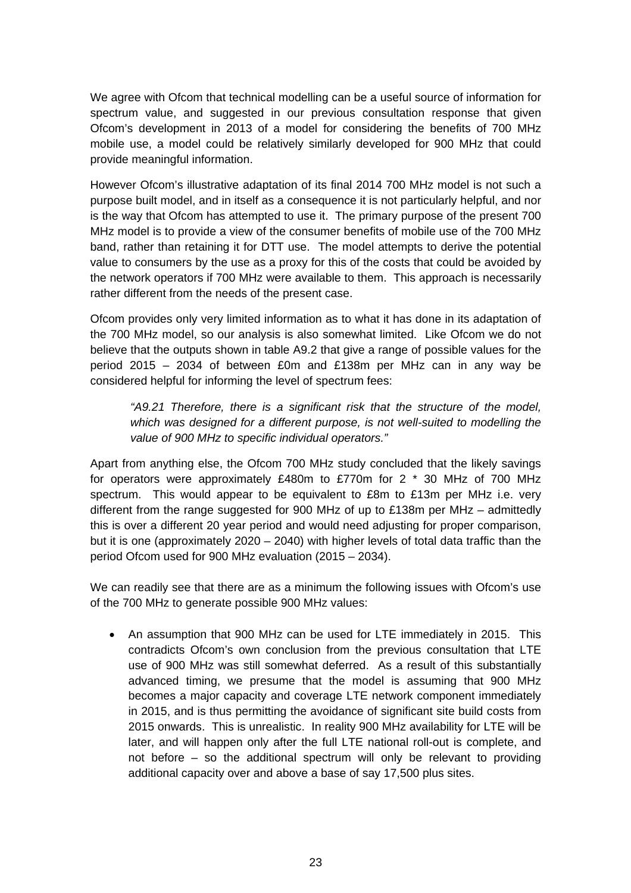We agree with Ofcom that technical modelling can be a useful source of information for spectrum value, and suggested in our previous consultation response that given Ofcom's development in 2013 of a model for considering the benefits of 700 MHz mobile use, a model could be relatively similarly developed for 900 MHz that could provide meaningful information.

However Ofcom's illustrative adaptation of its final 2014 700 MHz model is not such a purpose built model, and in itself as a consequence it is not particularly helpful, and nor is the way that Ofcom has attempted to use it. The primary purpose of the present 700 MHz model is to provide a view of the consumer benefits of mobile use of the 700 MHz band, rather than retaining it for DTT use. The model attempts to derive the potential value to consumers by the use as a proxy for this of the costs that could be avoided by the network operators if 700 MHz were available to them. This approach is necessarily rather different from the needs of the present case.

Ofcom provides only very limited information as to what it has done in its adaptation of the 700 MHz model, so our analysis is also somewhat limited. Like Ofcom we do not believe that the outputs shown in table A9.2 that give a range of possible values for the period 2015 – 2034 of between £0m and £138m per MHz can in any way be considered helpful for informing the level of spectrum fees:

*"A9.21 Therefore, there is a significant risk that the structure of the model, which was designed for a different purpose, is not well-suited to modelling the value of 900 MHz to specific individual operators."* 

Apart from anything else, the Ofcom 700 MHz study concluded that the likely savings for operators were approximately £480m to £770m for 2 \* 30 MHz of 700 MHz spectrum. This would appear to be equivalent to £8m to £13m per MHz i.e. very different from the range suggested for 900 MHz of up to £138m per MHz – admittedly this is over a different 20 year period and would need adjusting for proper comparison, but it is one (approximately 2020 – 2040) with higher levels of total data traffic than the period Ofcom used for 900 MHz evaluation (2015 – 2034).

We can readily see that there are as a minimum the following issues with Ofcom's use of the 700 MHz to generate possible 900 MHz values:

• An assumption that 900 MHz can be used for LTE immediately in 2015. This contradicts Ofcom's own conclusion from the previous consultation that LTE use of 900 MHz was still somewhat deferred. As a result of this substantially advanced timing, we presume that the model is assuming that 900 MHz becomes a major capacity and coverage LTE network component immediately in 2015, and is thus permitting the avoidance of significant site build costs from 2015 onwards. This is unrealistic. In reality 900 MHz availability for LTE will be later, and will happen only after the full LTE national roll-out is complete, and not before – so the additional spectrum will only be relevant to providing additional capacity over and above a base of say 17,500 plus sites.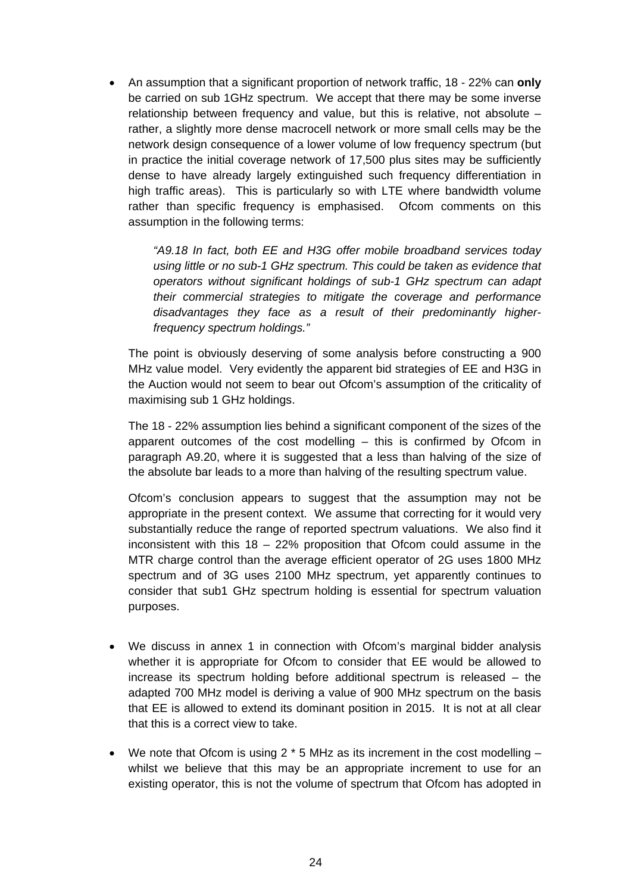• An assumption that a significant proportion of network traffic, 18 - 22% can **only** be carried on sub 1GHz spectrum. We accept that there may be some inverse relationship between frequency and value, but this is relative, not absolute – rather, a slightly more dense macrocell network or more small cells may be the network design consequence of a lower volume of low frequency spectrum (but in practice the initial coverage network of 17,500 plus sites may be sufficiently dense to have already largely extinguished such frequency differentiation in high traffic areas). This is particularly so with LTE where bandwidth volume rather than specific frequency is emphasised. Ofcom comments on this assumption in the following terms:

> *"A9.18 In fact, both EE and H3G offer mobile broadband services today using little or no sub-1 GHz spectrum. This could be taken as evidence that operators without significant holdings of sub-1 GHz spectrum can adapt their commercial strategies to mitigate the coverage and performance disadvantages they face as a result of their predominantly higherfrequency spectrum holdings."*

The point is obviously deserving of some analysis before constructing a 900 MHz value model. Very evidently the apparent bid strategies of EE and H3G in the Auction would not seem to bear out Ofcom's assumption of the criticality of maximising sub 1 GHz holdings.

The 18 - 22% assumption lies behind a significant component of the sizes of the apparent outcomes of the cost modelling – this is confirmed by Ofcom in paragraph A9.20, where it is suggested that a less than halving of the size of the absolute bar leads to a more than halving of the resulting spectrum value.

Ofcom's conclusion appears to suggest that the assumption may not be appropriate in the present context. We assume that correcting for it would very substantially reduce the range of reported spectrum valuations. We also find it inconsistent with this  $18 - 22\%$  proposition that Ofcom could assume in the MTR charge control than the average efficient operator of 2G uses 1800 MHz spectrum and of 3G uses 2100 MHz spectrum, yet apparently continues to consider that sub1 GHz spectrum holding is essential for spectrum valuation purposes.

- We discuss in annex 1 in connection with Ofcom's marginal bidder analysis whether it is appropriate for Ofcom to consider that EE would be allowed to increase its spectrum holding before additional spectrum is released – the adapted 700 MHz model is deriving a value of 900 MHz spectrum on the basis that EE is allowed to extend its dominant position in 2015. It is not at all clear that this is a correct view to take.
- We note that Ofcom is using 2  $*$  5 MHz as its increment in the cost modelling  $$ whilst we believe that this may be an appropriate increment to use for an existing operator, this is not the volume of spectrum that Ofcom has adopted in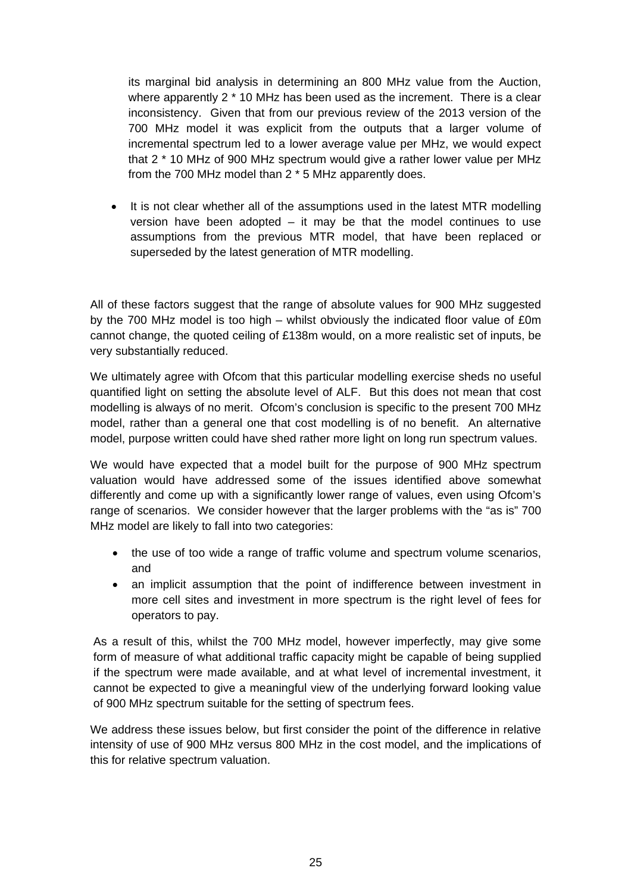its marginal bid analysis in determining an 800 MHz value from the Auction, where apparently  $2 * 10$  MHz has been used as the increment. There is a clear inconsistency. Given that from our previous review of the 2013 version of the 700 MHz model it was explicit from the outputs that a larger volume of incremental spectrum led to a lower average value per MHz, we would expect that 2 \* 10 MHz of 900 MHz spectrum would give a rather lower value per MHz from the 700 MHz model than 2 \* 5 MHz apparently does.

• It is not clear whether all of the assumptions used in the latest MTR modelling version have been adopted  $-$  it may be that the model continues to use assumptions from the previous MTR model, that have been replaced or superseded by the latest generation of MTR modelling.

All of these factors suggest that the range of absolute values for 900 MHz suggested by the 700 MHz model is too high – whilst obviously the indicated floor value of £0m cannot change, the quoted ceiling of £138m would, on a more realistic set of inputs, be very substantially reduced.

We ultimately agree with Ofcom that this particular modelling exercise sheds no useful quantified light on setting the absolute level of ALF. But this does not mean that cost modelling is always of no merit. Ofcom's conclusion is specific to the present 700 MHz model, rather than a general one that cost modelling is of no benefit. An alternative model, purpose written could have shed rather more light on long run spectrum values.

We would have expected that a model built for the purpose of 900 MHz spectrum valuation would have addressed some of the issues identified above somewhat differently and come up with a significantly lower range of values, even using Ofcom's range of scenarios. We consider however that the larger problems with the "as is" 700 MHz model are likely to fall into two categories:

- the use of too wide a range of traffic volume and spectrum volume scenarios, and
- an implicit assumption that the point of indifference between investment in more cell sites and investment in more spectrum is the right level of fees for operators to pay.

As a result of this, whilst the 700 MHz model, however imperfectly, may give some form of measure of what additional traffic capacity might be capable of being supplied if the spectrum were made available, and at what level of incremental investment, it cannot be expected to give a meaningful view of the underlying forward looking value of 900 MHz spectrum suitable for the setting of spectrum fees.

We address these issues below, but first consider the point of the difference in relative intensity of use of 900 MHz versus 800 MHz in the cost model, and the implications of this for relative spectrum valuation.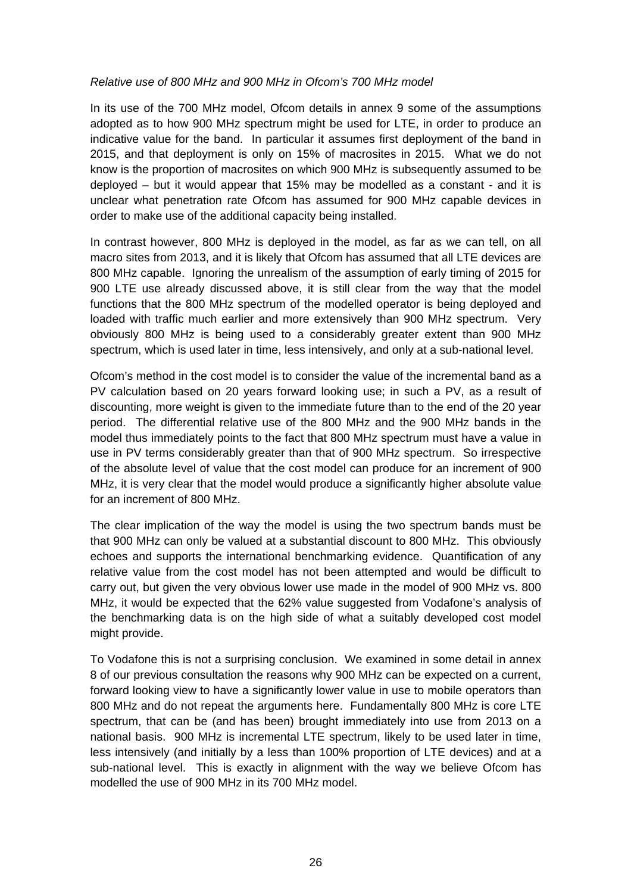## *Relative use of 800 MHz and 900 MHz in Ofcom's 700 MHz model*

In its use of the 700 MHz model, Ofcom details in annex 9 some of the assumptions adopted as to how 900 MHz spectrum might be used for LTE, in order to produce an indicative value for the band. In particular it assumes first deployment of the band in 2015, and that deployment is only on 15% of macrosites in 2015. What we do not know is the proportion of macrosites on which 900 MHz is subsequently assumed to be deployed – but it would appear that 15% may be modelled as a constant - and it is unclear what penetration rate Ofcom has assumed for 900 MHz capable devices in order to make use of the additional capacity being installed.

In contrast however, 800 MHz is deployed in the model, as far as we can tell, on all macro sites from 2013, and it is likely that Ofcom has assumed that all LTE devices are 800 MHz capable. Ignoring the unrealism of the assumption of early timing of 2015 for 900 LTE use already discussed above, it is still clear from the way that the model functions that the 800 MHz spectrum of the modelled operator is being deployed and loaded with traffic much earlier and more extensively than 900 MHz spectrum. Very obviously 800 MHz is being used to a considerably greater extent than 900 MHz spectrum, which is used later in time, less intensively, and only at a sub-national level.

Ofcom's method in the cost model is to consider the value of the incremental band as a PV calculation based on 20 years forward looking use; in such a PV, as a result of discounting, more weight is given to the immediate future than to the end of the 20 year period. The differential relative use of the 800 MHz and the 900 MHz bands in the model thus immediately points to the fact that 800 MHz spectrum must have a value in use in PV terms considerably greater than that of 900 MHz spectrum. So irrespective of the absolute level of value that the cost model can produce for an increment of 900 MHz, it is very clear that the model would produce a significantly higher absolute value for an increment of 800 MHz.

The clear implication of the way the model is using the two spectrum bands must be that 900 MHz can only be valued at a substantial discount to 800 MHz. This obviously echoes and supports the international benchmarking evidence. Quantification of any relative value from the cost model has not been attempted and would be difficult to carry out, but given the very obvious lower use made in the model of 900 MHz vs. 800 MHz, it would be expected that the 62% value suggested from Vodafone's analysis of the benchmarking data is on the high side of what a suitably developed cost model might provide.

To Vodafone this is not a surprising conclusion. We examined in some detail in annex 8 of our previous consultation the reasons why 900 MHz can be expected on a current, forward looking view to have a significantly lower value in use to mobile operators than 800 MHz and do not repeat the arguments here. Fundamentally 800 MHz is core LTE spectrum, that can be (and has been) brought immediately into use from 2013 on a national basis. 900 MHz is incremental LTE spectrum, likely to be used later in time, less intensively (and initially by a less than 100% proportion of LTE devices) and at a sub-national level. This is exactly in alignment with the way we believe Ofcom has modelled the use of 900 MHz in its 700 MHz model.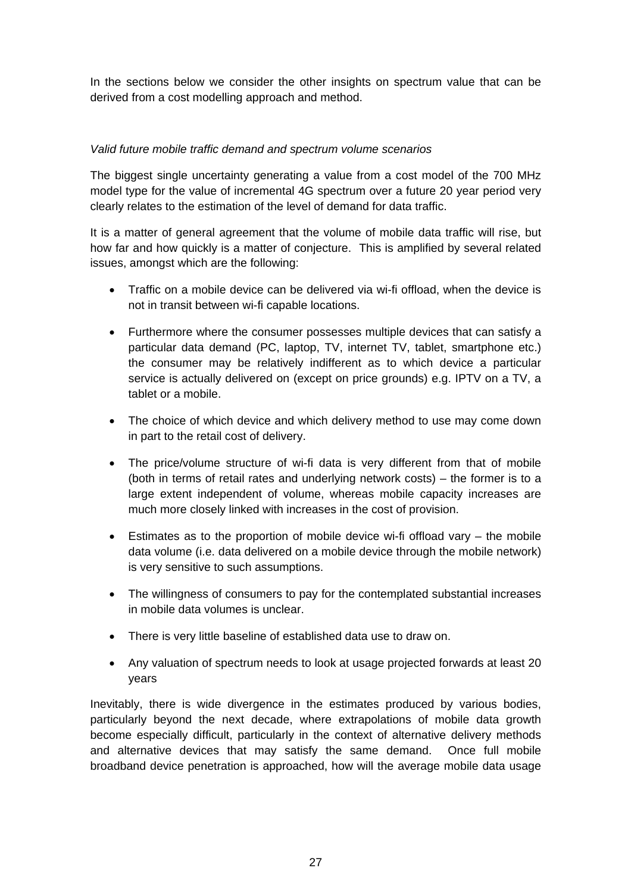In the sections below we consider the other insights on spectrum value that can be derived from a cost modelling approach and method.

# *Valid future mobile traffic demand and spectrum volume scenarios*

The biggest single uncertainty generating a value from a cost model of the 700 MHz model type for the value of incremental 4G spectrum over a future 20 year period very clearly relates to the estimation of the level of demand for data traffic.

It is a matter of general agreement that the volume of mobile data traffic will rise, but how far and how quickly is a matter of conjecture. This is amplified by several related issues, amongst which are the following:

- Traffic on a mobile device can be delivered via wi-fi offload, when the device is not in transit between wi-fi capable locations.
- Furthermore where the consumer possesses multiple devices that can satisfy a particular data demand (PC, laptop, TV, internet TV, tablet, smartphone etc.) the consumer may be relatively indifferent as to which device a particular service is actually delivered on (except on price grounds) e.g. IPTV on a TV, a tablet or a mobile.
- The choice of which device and which delivery method to use may come down in part to the retail cost of delivery.
- The price/volume structure of wi-fi data is very different from that of mobile (both in terms of retail rates and underlying network costs) – the former is to a large extent independent of volume, whereas mobile capacity increases are much more closely linked with increases in the cost of provision.
- Estimates as to the proportion of mobile device wi-fi offload vary the mobile data volume (i.e. data delivered on a mobile device through the mobile network) is very sensitive to such assumptions.
- The willingness of consumers to pay for the contemplated substantial increases in mobile data volumes is unclear.
- There is very little baseline of established data use to draw on.
- Any valuation of spectrum needs to look at usage projected forwards at least 20 years

Inevitably, there is wide divergence in the estimates produced by various bodies, particularly beyond the next decade, where extrapolations of mobile data growth become especially difficult, particularly in the context of alternative delivery methods and alternative devices that may satisfy the same demand. Once full mobile broadband device penetration is approached, how will the average mobile data usage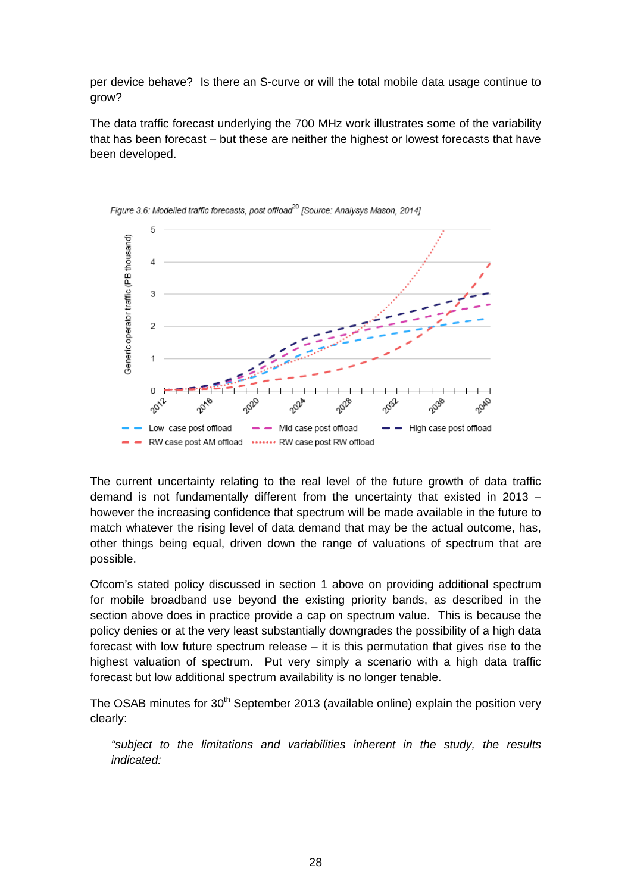per device behave? Is there an S-curve or will the total mobile data usage continue to grow?

The data traffic forecast underlying the 700 MHz work illustrates some of the variability that has been forecast – but these are neither the highest or lowest forecasts that have been developed.





The current uncertainty relating to the real level of the future growth of data traffic demand is not fundamentally different from the uncertainty that existed in 2013 – however the increasing confidence that spectrum will be made available in the future to match whatever the rising level of data demand that may be the actual outcome, has, other things being equal, driven down the range of valuations of spectrum that are possible.

Ofcom's stated policy discussed in section 1 above on providing additional spectrum for mobile broadband use beyond the existing priority bands, as described in the section above does in practice provide a cap on spectrum value. This is because the policy denies or at the very least substantially downgrades the possibility of a high data forecast with low future spectrum release – it is this permutation that gives rise to the highest valuation of spectrum. Put very simply a scenario with a high data traffic forecast but low additional spectrum availability is no longer tenable.

The OSAB minutes for  $30<sup>th</sup>$  September 2013 (available online) explain the position very clearly:

*"subject to the limitations and variabilities inherent in the study, the results indicated:*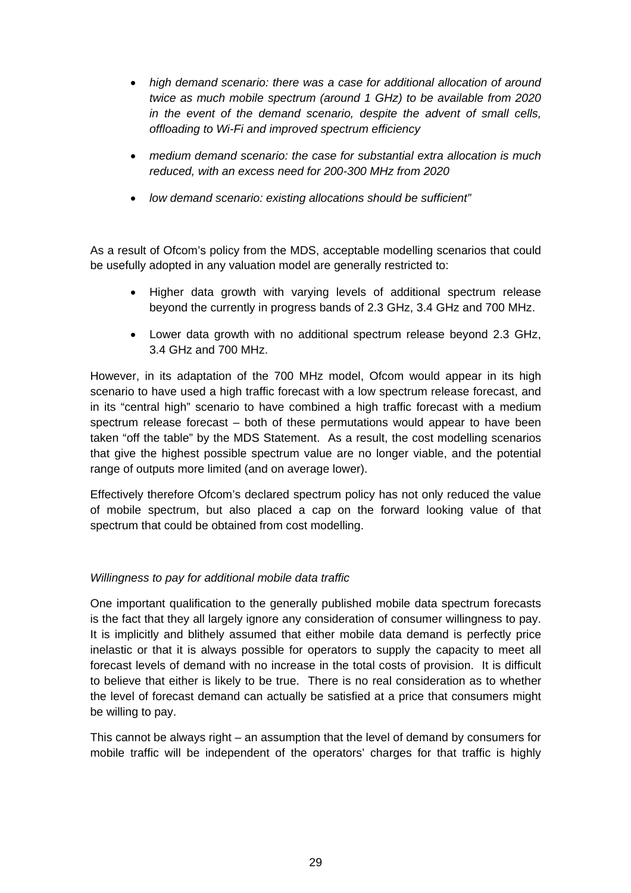- *high demand scenario: there was a case for additional allocation of around twice as much mobile spectrum (around 1 GHz) to be available from 2020 in the event of the demand scenario, despite the advent of small cells, offloading to Wi-Fi and improved spectrum efficiency*
- *medium demand scenario: the case for substantial extra allocation is much reduced, with an excess need for 200-300 MHz from 2020*
- *low demand scenario: existing allocations should be sufficient"*

As a result of Ofcom's policy from the MDS, acceptable modelling scenarios that could be usefully adopted in any valuation model are generally restricted to:

- Higher data growth with varying levels of additional spectrum release beyond the currently in progress bands of 2.3 GHz, 3.4 GHz and 700 MHz.
- Lower data growth with no additional spectrum release beyond 2.3 GHz, 3.4 GHz and 700 MHz.

However, in its adaptation of the 700 MHz model, Ofcom would appear in its high scenario to have used a high traffic forecast with a low spectrum release forecast, and in its "central high" scenario to have combined a high traffic forecast with a medium spectrum release forecast – both of these permutations would appear to have been taken "off the table" by the MDS Statement. As a result, the cost modelling scenarios that give the highest possible spectrum value are no longer viable, and the potential range of outputs more limited (and on average lower).

Effectively therefore Ofcom's declared spectrum policy has not only reduced the value of mobile spectrum, but also placed a cap on the forward looking value of that spectrum that could be obtained from cost modelling.

# *Willingness to pay for additional mobile data traffic*

One important qualification to the generally published mobile data spectrum forecasts is the fact that they all largely ignore any consideration of consumer willingness to pay. It is implicitly and blithely assumed that either mobile data demand is perfectly price inelastic or that it is always possible for operators to supply the capacity to meet all forecast levels of demand with no increase in the total costs of provision. It is difficult to believe that either is likely to be true. There is no real consideration as to whether the level of forecast demand can actually be satisfied at a price that consumers might be willing to pay.

This cannot be always right – an assumption that the level of demand by consumers for mobile traffic will be independent of the operators' charges for that traffic is highly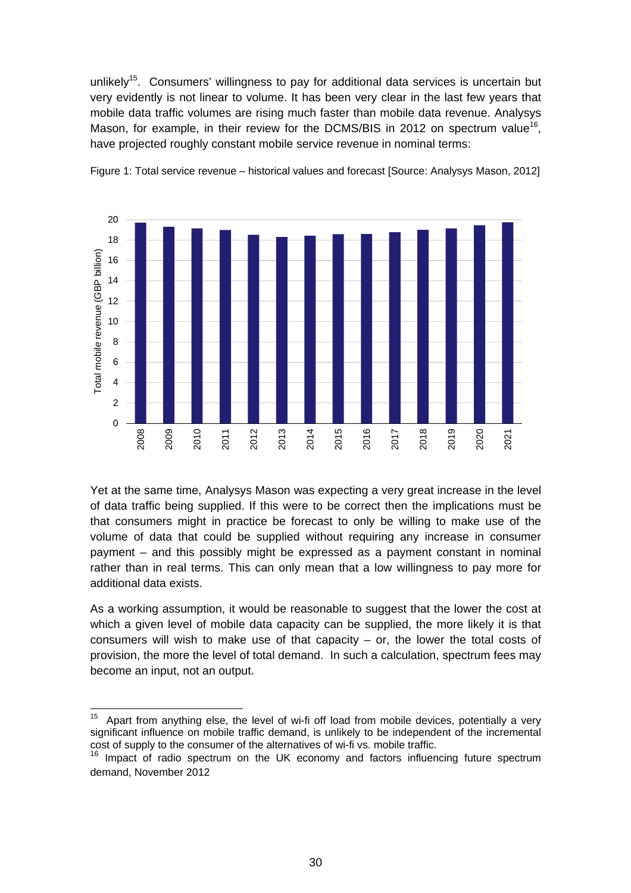unlikely<sup>15</sup>. Consumers' willingness to pay for additional data services is uncertain but very evidently is not linear to volume. It has been very clear in the last few years that mobile data traffic volumes are rising much faster than mobile data revenue. Analysys Mason, for example, in their review for the DCMS/BIS in 2012 on spectrum value<sup>16</sup>. have projected roughly constant mobile service revenue in nominal terms:



Figure 1: Total service revenue – historical values and forecast [Source: Analysys Mason, 2012]

Yet at the same time, Analysys Mason was expecting a very great increase in the level of data traffic being supplied. If this were to be correct then the implications must be that consumers might in practice be forecast to only be willing to make use of the volume of data that could be supplied without requiring any increase in consumer payment – and this possibly might be expressed as a payment constant in nominal rather than in real terms. This can only mean that a low willingness to pay more for additional data exists.

As a working assumption, it would be reasonable to suggest that the lower the cost at which a given level of mobile data capacity can be supplied, the more likely it is that consumers will wish to make use of that capacity – or, the lower the total costs of provision, the more the level of total demand. In such a calculation, spectrum fees may become an input, not an output.

 $\overline{a}$ Apart from anything else, the level of wi-fi off load from mobile devices, potentially a very significant influence on mobile traffic demand, is unlikely to be independent of the incremental cost of supply to the consumer of the alternatives of wi-fi vs. mobile traffic.

<sup>&</sup>lt;sup>16</sup> Impact of radio spectrum on the UK economy and factors influencing future spectrum demand, November 2012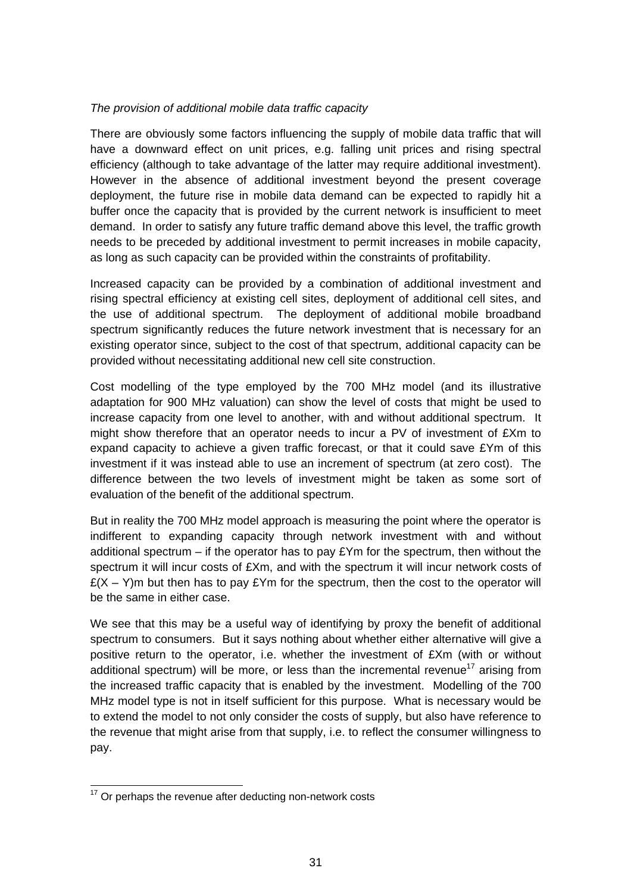#### *The provision of additional mobile data traffic capacity*

There are obviously some factors influencing the supply of mobile data traffic that will have a downward effect on unit prices, e.g. falling unit prices and rising spectral efficiency (although to take advantage of the latter may require additional investment). However in the absence of additional investment beyond the present coverage deployment, the future rise in mobile data demand can be expected to rapidly hit a buffer once the capacity that is provided by the current network is insufficient to meet demand. In order to satisfy any future traffic demand above this level, the traffic growth needs to be preceded by additional investment to permit increases in mobile capacity, as long as such capacity can be provided within the constraints of profitability.

Increased capacity can be provided by a combination of additional investment and rising spectral efficiency at existing cell sites, deployment of additional cell sites, and the use of additional spectrum. The deployment of additional mobile broadband spectrum significantly reduces the future network investment that is necessary for an existing operator since, subject to the cost of that spectrum, additional capacity can be provided without necessitating additional new cell site construction.

Cost modelling of the type employed by the 700 MHz model (and its illustrative adaptation for 900 MHz valuation) can show the level of costs that might be used to increase capacity from one level to another, with and without additional spectrum. It might show therefore that an operator needs to incur a PV of investment of £Xm to expand capacity to achieve a given traffic forecast, or that it could save £Ym of this investment if it was instead able to use an increment of spectrum (at zero cost). The difference between the two levels of investment might be taken as some sort of evaluation of the benefit of the additional spectrum.

But in reality the 700 MHz model approach is measuring the point where the operator is indifferent to expanding capacity through network investment with and without additional spectrum – if the operator has to pay  $EYm$  for the spectrum, then without the spectrum it will incur costs of £Xm, and with the spectrum it will incur network costs of  $E(X - Y)$ m but then has to pay  $EY$ m for the spectrum, then the cost to the operator will be the same in either case.

We see that this may be a useful way of identifying by proxy the benefit of additional spectrum to consumers. But it says nothing about whether either alternative will give a positive return to the operator, i.e. whether the investment of £Xm (with or without additional spectrum) will be more, or less than the incremental revenue<sup>17</sup> arising from the increased traffic capacity that is enabled by the investment. Modelling of the 700 MHz model type is not in itself sufficient for this purpose. What is necessary would be to extend the model to not only consider the costs of supply, but also have reference to the revenue that might arise from that supply, i.e. to reflect the consumer willingness to pay.

 $17$  Or perhaps the revenue after deducting non-network costs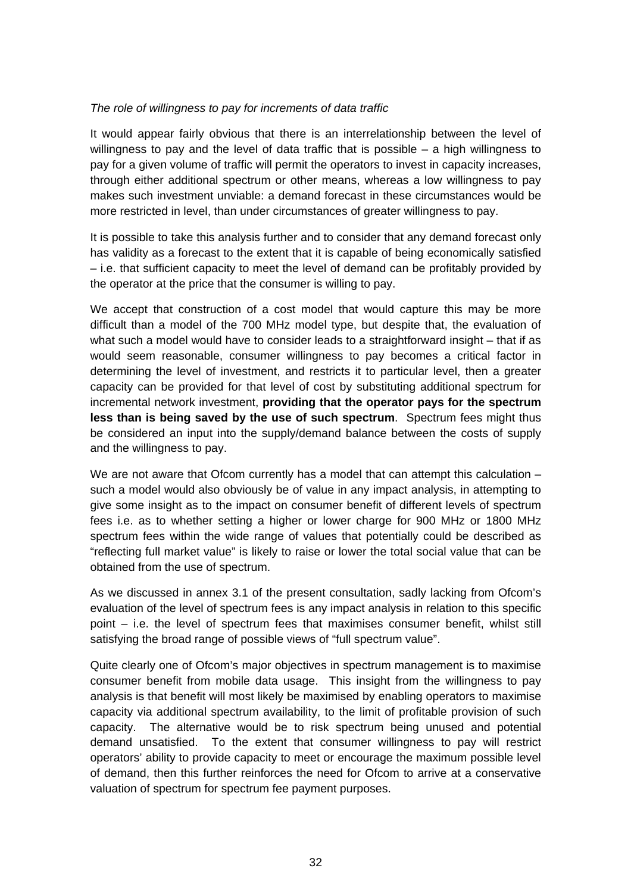#### *The role of willingness to pay for increments of data traffic*

It would appear fairly obvious that there is an interrelationship between the level of willingness to pay and the level of data traffic that is possible – a high willingness to pay for a given volume of traffic will permit the operators to invest in capacity increases, through either additional spectrum or other means, whereas a low willingness to pay makes such investment unviable: a demand forecast in these circumstances would be more restricted in level, than under circumstances of greater willingness to pay.

It is possible to take this analysis further and to consider that any demand forecast only has validity as a forecast to the extent that it is capable of being economically satisfied – i.e. that sufficient capacity to meet the level of demand can be profitably provided by the operator at the price that the consumer is willing to pay.

We accept that construction of a cost model that would capture this may be more difficult than a model of the 700 MHz model type, but despite that, the evaluation of what such a model would have to consider leads to a straightforward insight – that if as would seem reasonable, consumer willingness to pay becomes a critical factor in determining the level of investment, and restricts it to particular level, then a greater capacity can be provided for that level of cost by substituting additional spectrum for incremental network investment, **providing that the operator pays for the spectrum less than is being saved by the use of such spectrum**. Spectrum fees might thus be considered an input into the supply/demand balance between the costs of supply and the willingness to pay.

We are not aware that Ofcom currently has a model that can attempt this calculation such a model would also obviously be of value in any impact analysis, in attempting to give some insight as to the impact on consumer benefit of different levels of spectrum fees i.e. as to whether setting a higher or lower charge for 900 MHz or 1800 MHz spectrum fees within the wide range of values that potentially could be described as "reflecting full market value" is likely to raise or lower the total social value that can be obtained from the use of spectrum.

As we discussed in annex 3.1 of the present consultation, sadly lacking from Ofcom's evaluation of the level of spectrum fees is any impact analysis in relation to this specific point – i.e. the level of spectrum fees that maximises consumer benefit, whilst still satisfying the broad range of possible views of "full spectrum value".

Quite clearly one of Ofcom's major objectives in spectrum management is to maximise consumer benefit from mobile data usage. This insight from the willingness to pay analysis is that benefit will most likely be maximised by enabling operators to maximise capacity via additional spectrum availability, to the limit of profitable provision of such capacity. The alternative would be to risk spectrum being unused and potential demand unsatisfied. To the extent that consumer willingness to pay will restrict operators' ability to provide capacity to meet or encourage the maximum possible level of demand, then this further reinforces the need for Ofcom to arrive at a conservative valuation of spectrum for spectrum fee payment purposes.